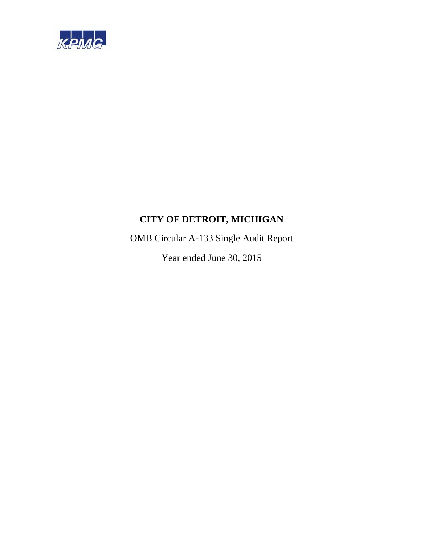

OMB Circular A-133 Single Audit Report

Year ended June 30, 2015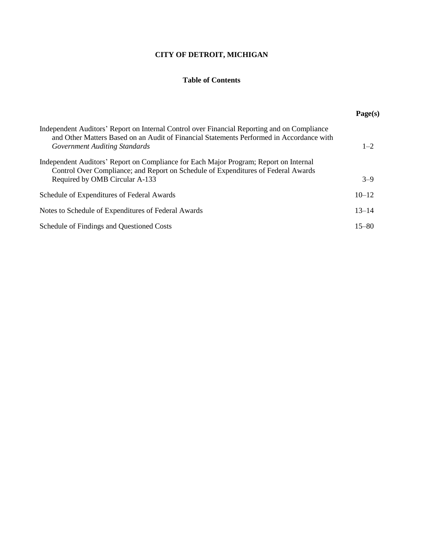### **Table of Contents**

|                                                                                                                                                                                                                          | Page(s)   |
|--------------------------------------------------------------------------------------------------------------------------------------------------------------------------------------------------------------------------|-----------|
| Independent Auditors' Report on Internal Control over Financial Reporting and on Compliance<br>and Other Matters Based on an Audit of Financial Statements Performed in Accordance with<br>Government Auditing Standards | $1 - 2$   |
| Independent Auditors' Report on Compliance for Each Major Program; Report on Internal<br>Control Over Compliance; and Report on Schedule of Expenditures of Federal Awards<br>Required by OMB Circular A-133             | $3 - 9$   |
| Schedule of Expenditures of Federal Awards                                                                                                                                                                               | $10 - 12$ |
| Notes to Schedule of Expenditures of Federal Awards                                                                                                                                                                      | $13 - 14$ |
| Schedule of Findings and Questioned Costs                                                                                                                                                                                | $15 - 80$ |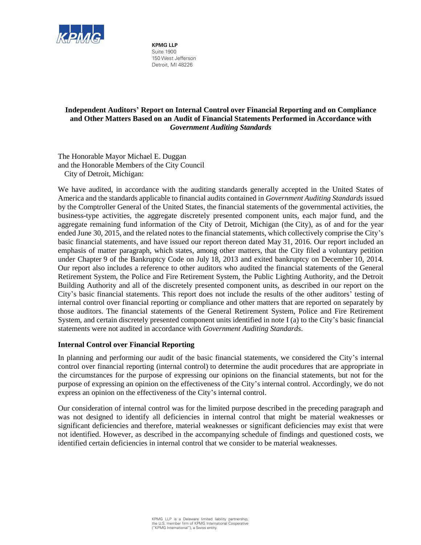

**KPMG LLP** Suite 1900 150 West Jefferson Detroit, MI 48226

### **Independent Auditors' Report on Internal Control over Financial Reporting and on Compliance and Other Matters Based on an Audit of Financial Statements Performed in Accordance with**  *Government Auditing Standards*

The Honorable Mayor Michael E. Duggan and the Honorable Members of the City Council City of Detroit, Michigan:

We have audited, in accordance with the auditing standards generally accepted in the United States of America and the standards applicable to financial audits contained in *Government Auditing Standards* issued by the Comptroller General of the United States, the financial statements of the governmental activities, the business-type activities, the aggregate discretely presented component units, each major fund, and the aggregate remaining fund information of the City of Detroit, Michigan (the City), as of and for the year ended June 30, 2015, and the related notes to the financial statements, which collectively comprise the City's basic financial statements, and have issued our report thereon dated May 31, 2016. Our report included an emphasis of matter paragraph, which states, among other matters, that the City filed a voluntary petition under Chapter 9 of the Bankruptcy Code on July 18, 2013 and exited bankruptcy on December 10, 2014. Our report also includes a reference to other auditors who audited the financial statements of the General Retirement System, the Police and Fire Retirement System, the Public Lighting Authority, and the Detroit Building Authority and all of the discretely presented component units, as described in our report on the City's basic financial statements. This report does not include the results of the other auditors' testing of internal control over financial reporting or compliance and other matters that are reported on separately by those auditors. The financial statements of the General Retirement System, Police and Fire Retirement System, and certain discretely presented component units identified in note I (a) to the City's basic financial statements were not audited in accordance with *Government Auditing Standards*.

### **Internal Control over Financial Reporting**

In planning and performing our audit of the basic financial statements, we considered the City's internal control over financial reporting (internal control) to determine the audit procedures that are appropriate in the circumstances for the purpose of expressing our opinions on the financial statements, but not for the purpose of expressing an opinion on the effectiveness of the City's internal control. Accordingly, we do not express an opinion on the effectiveness of the City's internal control.

Our consideration of internal control was for the limited purpose described in the preceding paragraph and was not designed to identify all deficiencies in internal control that might be material weaknesses or significant deficiencies and therefore, material weaknesses or significant deficiencies may exist that were not identified. However, as described in the accompanying schedule of findings and questioned costs, we identified certain deficiencies in internal control that we consider to be material weaknesses.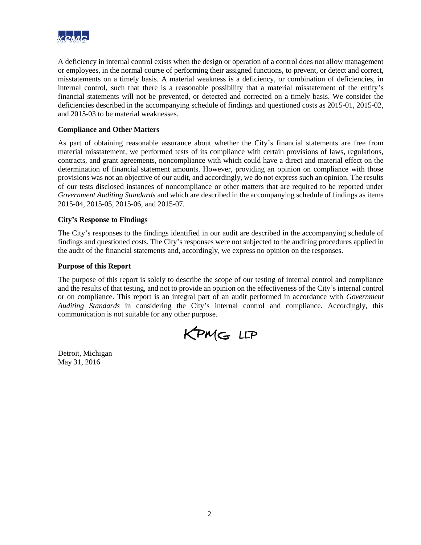

A deficiency in internal control exists when the design or operation of a control does not allow management or employees, in the normal course of performing their assigned functions, to prevent, or detect and correct, misstatements on a timely basis. A material weakness is a deficiency, or combination of deficiencies, in internal control, such that there is a reasonable possibility that a material misstatement of the entity's financial statements will not be prevented, or detected and corrected on a timely basis. We consider the deficiencies described in the accompanying schedule of findings and questioned costs as 2015-01, 2015-02, and 2015-03 to be material weaknesses.

### **Compliance and Other Matters**

As part of obtaining reasonable assurance about whether the City's financial statements are free from material misstatement, we performed tests of its compliance with certain provisions of laws, regulations, contracts, and grant agreements, noncompliance with which could have a direct and material effect on the determination of financial statement amounts. However, providing an opinion on compliance with those provisions was not an objective of our audit, and accordingly, we do not express such an opinion. The results of our tests disclosed instances of noncompliance or other matters that are required to be reported under *Government Auditing Standards* and which are described in the accompanying schedule of findings as items 2015-04, 2015-05, 2015-06, and 2015-07.

### **City's Response to Findings**

The City's responses to the findings identified in our audit are described in the accompanying schedule of findings and questioned costs. The City's responses were not subjected to the auditing procedures applied in the audit of the financial statements and, accordingly, we express no opinion on the responses.

#### **Purpose of this Report**

The purpose of this report is solely to describe the scope of our testing of internal control and compliance and the results of that testing, and not to provide an opinion on the effectiveness of the City's internal control or on compliance. This report is an integral part of an audit performed in accordance with *Government Auditing Standards* in considering the City's internal control and compliance. Accordingly, this communication is not suitable for any other purpose.

KPMG LLP

Detroit, Michigan May 31, 2016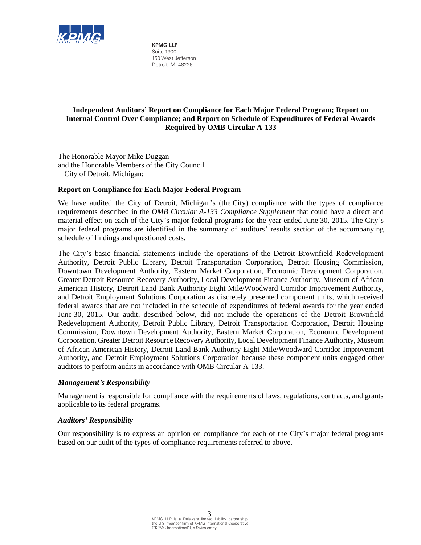

**KPMG LLP** Suite 1900 150 West Jefferson Detroit, MI 48226

### **Independent Auditors' Report on Compliance for Each Major Federal Program; Report on Internal Control Over Compliance; and Report on Schedule of Expenditures of Federal Awards Required by OMB Circular A-133**

The Honorable Mayor Mike Duggan and the Honorable Members of the City Council City of Detroit, Michigan:

### **Report on Compliance for Each Major Federal Program**

We have audited the City of Detroit, Michigan's (the City) compliance with the types of compliance requirements described in the *OMB Circular A-133 Compliance Supplement* that could have a direct and material effect on each of the City's major federal programs for the year ended June 30, 2015. The City's major federal programs are identified in the summary of auditors' results section of the accompanying schedule of findings and questioned costs.

The City's basic financial statements include the operations of the Detroit Brownfield Redevelopment Authority, Detroit Public Library, Detroit Transportation Corporation, Detroit Housing Commission, Downtown Development Authority, Eastern Market Corporation, Economic Development Corporation, Greater Detroit Resource Recovery Authority, Local Development Finance Authority, Museum of African American History, Detroit Land Bank Authority Eight Mile/Woodward Corridor Improvement Authority, and Detroit Employment Solutions Corporation as discretely presented component units, which received federal awards that are not included in the schedule of expenditures of federal awards for the year ended June 30, 2015. Our audit, described below, did not include the operations of the Detroit Brownfield Redevelopment Authority, Detroit Public Library, Detroit Transportation Corporation, Detroit Housing Commission, Downtown Development Authority, Eastern Market Corporation, Economic Development Corporation, Greater Detroit Resource Recovery Authority, Local Development Finance Authority, Museum of African American History, Detroit Land Bank Authority Eight Mile/Woodward Corridor Improvement Authority, and Detroit Employment Solutions Corporation because these component units engaged other auditors to perform audits in accordance with OMB Circular A-133.

### *Management's Responsibility*

Management is responsible for compliance with the requirements of laws, regulations, contracts, and grants applicable to its federal programs.

### *Auditors' Responsibility*

Our responsibility is to express an opinion on compliance for each of the City's major federal programs based on our audit of the types of compliance requirements referred to above.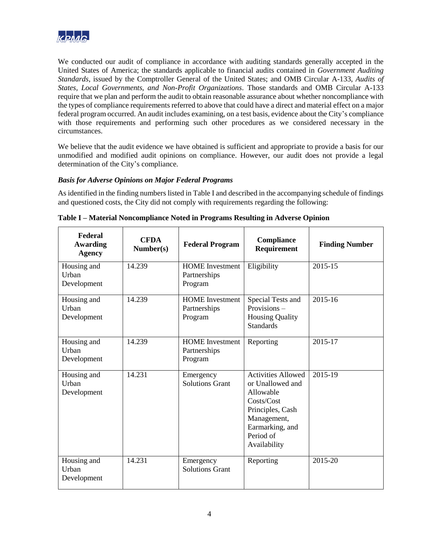

We conducted our audit of compliance in accordance with auditing standards generally accepted in the United States of America; the standards applicable to financial audits contained in *Government Auditing Standards*, issued by the Comptroller General of the United States; and OMB Circular A-133, *Audits of States, Local Governments, and Non-Profit Organizations*. Those standards and OMB Circular A-133 require that we plan and perform the audit to obtain reasonable assurance about whether noncompliance with the types of compliance requirements referred to above that could have a direct and material effect on a major federal program occurred. An audit includes examining, on a test basis, evidence about the City's compliance with those requirements and performing such other procedures as we considered necessary in the circumstances.

We believe that the audit evidence we have obtained is sufficient and appropriate to provide a basis for our unmodified and modified audit opinions on compliance. However, our audit does not provide a legal determination of the City's compliance.

### *Basis for Adverse Opinions on Major Federal Programs*

As identified in the finding numbers listed in Table I and described in the accompanying schedule of findings and questioned costs, the City did not comply with requirements regarding the following:

| Federal<br><b>Awarding</b><br><b>Agency</b> | <b>CFDA</b><br>Number(s) | <b>Federal Program</b>                            | Compliance<br>Requirement                                                                                                                                   | <b>Finding Number</b> |
|---------------------------------------------|--------------------------|---------------------------------------------------|-------------------------------------------------------------------------------------------------------------------------------------------------------------|-----------------------|
| Housing and<br>Urban<br>Development         | 14.239                   | <b>HOME</b> Investment<br>Partnerships<br>Program | Eligibility                                                                                                                                                 | 2015-15               |
| Housing and<br>Urban<br>Development         | 14.239                   | <b>HOME</b> Investment<br>Partnerships<br>Program | Special Tests and<br>Provisions-<br><b>Housing Quality</b><br><b>Standards</b>                                                                              | 2015-16               |
| Housing and<br>Urban<br>Development         | 14.239                   | <b>HOME</b> Investment<br>Partnerships<br>Program | Reporting                                                                                                                                                   | 2015-17               |
| Housing and<br>Urban<br>Development         | 14.231                   | Emergency<br><b>Solutions Grant</b>               | <b>Activities Allowed</b><br>or Unallowed and<br>Allowable<br>Costs/Cost<br>Principles, Cash<br>Management,<br>Earmarking, and<br>Period of<br>Availability | 2015-19               |
| Housing and<br>Urban<br>Development         | 14.231                   | Emergency<br><b>Solutions Grant</b>               | Reporting                                                                                                                                                   | 2015-20               |

|  | Table I – Material Noncompliance Noted in Programs Resulting in Adverse Opinion |  |  |  |
|--|---------------------------------------------------------------------------------|--|--|--|
|  |                                                                                 |  |  |  |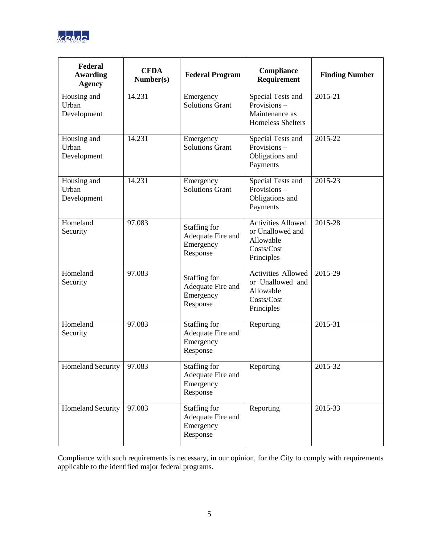

| Federal<br><b>Awarding</b><br><b>Agency</b> | <b>CFDA</b><br>Number(s) | <b>Federal Program</b>                                     | Compliance<br>Requirement                                                              | <b>Finding Number</b> |
|---------------------------------------------|--------------------------|------------------------------------------------------------|----------------------------------------------------------------------------------------|-----------------------|
| Housing and<br>Urban<br>Development         | 14.231                   | Emergency<br><b>Solutions Grant</b>                        | Special Tests and<br>Provisions-<br>Maintenance as<br><b>Homeless Shelters</b>         | 2015-21               |
| Housing and<br>Urban<br>Development         | 14.231                   | Emergency<br><b>Solutions Grant</b>                        | Special Tests and<br>Provisions-<br>Obligations and<br>Payments                        | 2015-22               |
| Housing and<br>Urban<br>Development         | 14.231                   | Emergency<br><b>Solutions Grant</b>                        | Special Tests and<br>Provisions-<br>Obligations and<br>Payments                        | 2015-23               |
| Homeland<br>Security                        | 97.083                   | Staffing for<br>Adequate Fire and<br>Emergency<br>Response | <b>Activities Allowed</b><br>or Unallowed and<br>Allowable<br>Costs/Cost<br>Principles | 2015-28               |
| Homeland<br>Security                        | 97.083                   | Staffing for<br>Adequate Fire and<br>Emergency<br>Response | Activities Allowed<br>or Unallowed and<br>Allowable<br>Costs/Cost<br>Principles        | 2015-29               |
| Homeland<br>Security                        | 97.083                   | Staffing for<br>Adequate Fire and<br>Emergency<br>Response | Reporting                                                                              | 2015-31               |
| Homeland Security   97.083                  |                          | Staffing for<br>Adequate Fire and<br>Emergency<br>Response | Reporting                                                                              | 2015-32               |
| <b>Homeland Security</b>                    | 97.083                   | Staffing for<br>Adequate Fire and<br>Emergency<br>Response | Reporting                                                                              | 2015-33               |

Compliance with such requirements is necessary, in our opinion, for the City to comply with requirements applicable to the identified major federal programs.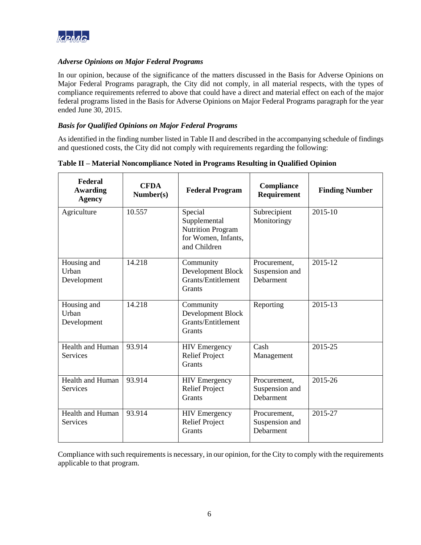

### *Adverse Opinions on Major Federal Programs*

In our opinion, because of the significance of the matters discussed in the Basis for Adverse Opinions on Major Federal Programs paragraph, the City did not comply, in all material respects, with the types of compliance requirements referred to above that could have a direct and material effect on each of the major federal programs listed in the Basis for Adverse Opinions on Major Federal Programs paragraph for the year ended June 30, 2015.

### *Basis for Qualified Opinions on Major Federal Programs*

As identified in the finding number listed in Table II and described in the accompanying schedule of findings and questioned costs, the City did not comply with requirements regarding the following:

| <b>Federal</b><br><b>Awarding</b><br><b>Agency</b> | <b>CFDA</b><br>Number(s) | <b>Federal Program</b>                                                                     | Compliance<br>Requirement                   | <b>Finding Number</b> |
|----------------------------------------------------|--------------------------|--------------------------------------------------------------------------------------------|---------------------------------------------|-----------------------|
| Agriculture                                        | 10.557                   | Special<br>Supplemental<br><b>Nutrition Program</b><br>for Women, Infants,<br>and Children | Subrecipient<br>Monitoringy                 | $2015 - 10$           |
| Housing and<br>Urban<br>Development                | 14.218                   | Community<br>Development Block<br>Grants/Entitlement<br>Grants                             | Procurement,<br>Suspension and<br>Debarment | 2015-12               |
| Housing and<br>Urban<br>Development                | 14.218                   | Community<br>Development Block<br><b>Grants/Entitlement</b><br><b>Grants</b>               | Reporting                                   | 2015-13               |
| <b>Health and Human</b><br><b>Services</b>         | 93.914                   | <b>HIV</b> Emergency<br><b>Relief Project</b><br><b>Grants</b>                             | Cash<br>Management                          | 2015-25               |
| <b>Health and Human</b><br>Services                | 93.914                   | <b>HIV</b> Emergency<br><b>Relief Project</b><br>Grants                                    | Procurement,<br>Suspension and<br>Debarment | 2015-26               |
| <b>Health and Human</b><br>Services                | 93.914                   | <b>HIV Emergency</b><br><b>Relief Project</b><br>Grants                                    | Procurement,<br>Suspension and<br>Debarment | 2015-27               |

**Table II – Material Noncompliance Noted in Programs Resulting in Qualified Opinion** 

Compliance with such requirements is necessary, in our opinion, for the City to comply with the requirements applicable to that program.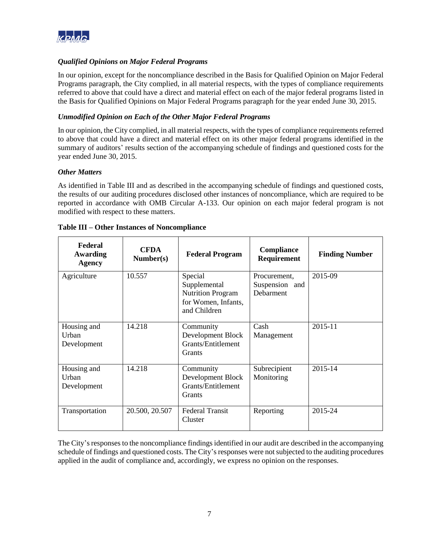

### *Qualified Opinions on Major Federal Programs*

In our opinion, except for the noncompliance described in the Basis for Qualified Opinion on Major Federal Programs paragraph, the City complied, in all material respects, with the types of compliance requirements referred to above that could have a direct and material effect on each of the major federal programs listed in the Basis for Qualified Opinions on Major Federal Programs paragraph for the year ended June 30, 2015.

### *Unmodified Opinion on Each of the Other Major Federal Programs*

In our opinion, the City complied, in all material respects, with the types of compliance requirements referred to above that could have a direct and material effect on its other major federal programs identified in the summary of auditors' results section of the accompanying schedule of findings and questioned costs for the year ended June 30, 2015.

### *Other Matters*

As identified in Table III and as described in the accompanying schedule of findings and questioned costs, the results of our auditing procedures disclosed other instances of noncompliance, which are required to be reported in accordance with OMB Circular A-133. Our opinion on each major federal program is not modified with respect to these matters.

| Federal<br>Awarding<br><b>Agency</b> | <b>CFDA</b><br>Number(s) | <b>Federal Program</b>                                                                     | Compliance<br>Requirement                   | <b>Finding Number</b> |
|--------------------------------------|--------------------------|--------------------------------------------------------------------------------------------|---------------------------------------------|-----------------------|
| Agriculture                          | 10.557                   | Special<br>Supplemental<br><b>Nutrition Program</b><br>for Women, Infants,<br>and Children | Procurement,<br>Suspension and<br>Debarment | 2015-09               |
| Housing and<br>Urban<br>Development  | 14.218                   | Community<br>Development Block<br>Grants/Entitlement<br><b>Grants</b>                      | Cash<br>Management                          | 2015-11               |
| Housing and<br>Urban<br>Development  | 14.218                   | Community<br>Development Block<br>Grants/Entitlement<br>Grants                             | Subrecipient<br>Monitoring                  | 2015-14               |
| Transportation                       | 20.500, 20.507           | <b>Federal Transit</b><br>Cluster                                                          | Reporting                                   | 2015-24               |

#### **Table III – Other Instances of Noncompliance**

The City's responses to the noncompliance findings identified in our audit are described in the accompanying schedule of findings and questioned costs. The City's responses were not subjected to the auditing procedures applied in the audit of compliance and, accordingly, we express no opinion on the responses.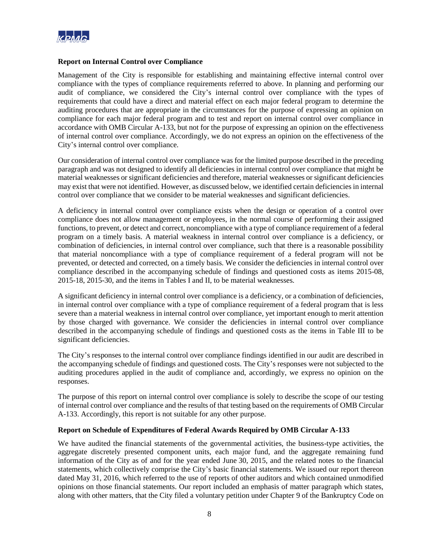

### **Report on Internal Control over Compliance**

Management of the City is responsible for establishing and maintaining effective internal control over compliance with the types of compliance requirements referred to above. In planning and performing our audit of compliance, we considered the City's internal control over compliance with the types of requirements that could have a direct and material effect on each major federal program to determine the auditing procedures that are appropriate in the circumstances for the purpose of expressing an opinion on compliance for each major federal program and to test and report on internal control over compliance in accordance with OMB Circular A-133, but not for the purpose of expressing an opinion on the effectiveness of internal control over compliance. Accordingly, we do not express an opinion on the effectiveness of the City's internal control over compliance.

Our consideration of internal control over compliance was for the limited purpose described in the preceding paragraph and was not designed to identify all deficiencies in internal control over compliance that might be material weaknesses or significant deficiencies and therefore, material weaknesses or significant deficiencies may exist that were not identified. However, as discussed below, we identified certain deficiencies in internal control over compliance that we consider to be material weaknesses and significant deficiencies.

A deficiency in internal control over compliance exists when the design or operation of a control over compliance does not allow management or employees, in the normal course of performing their assigned functions, to prevent, or detect and correct, noncompliance with a type of compliance requirement of a federal program on a timely basis. A material weakness in internal control over compliance is a deficiency, or combination of deficiencies, in internal control over compliance, such that there is a reasonable possibility that material noncompliance with a type of compliance requirement of a federal program will not be prevented, or detected and corrected, on a timely basis. We consider the deficiencies in internal control over compliance described in the accompanying schedule of findings and questioned costs as items 2015-08, 2015-18, 2015-30, and the items in Tables I and II, to be material weaknesses.

A significant deficiency in internal control over compliance is a deficiency, or a combination of deficiencies, in internal control over compliance with a type of compliance requirement of a federal program that is less severe than a material weakness in internal control over compliance, yet important enough to merit attention by those charged with governance. We consider the deficiencies in internal control over compliance described in the accompanying schedule of findings and questioned costs as the items in Table III to be significant deficiencies.

The City's responses to the internal control over compliance findings identified in our audit are described in the accompanying schedule of findings and questioned costs. The City's responses were not subjected to the auditing procedures applied in the audit of compliance and, accordingly, we express no opinion on the responses.

The purpose of this report on internal control over compliance is solely to describe the scope of our testing of internal control over compliance and the results of that testing based on the requirements of OMB Circular A-133. Accordingly, this report is not suitable for any other purpose.

#### **Report on Schedule of Expenditures of Federal Awards Required by OMB Circular A-133**

We have audited the financial statements of the governmental activities, the business-type activities, the aggregate discretely presented component units, each major fund, and the aggregate remaining fund information of the City as of and for the year ended June 30, 2015, and the related notes to the financial statements, which collectively comprise the City's basic financial statements. We issued our report thereon dated May 31, 2016, which referred to the use of reports of other auditors and which contained unmodified opinions on those financial statements. Our report included an emphasis of matter paragraph which states, along with other matters, that the City filed a voluntary petition under Chapter 9 of the Bankruptcy Code on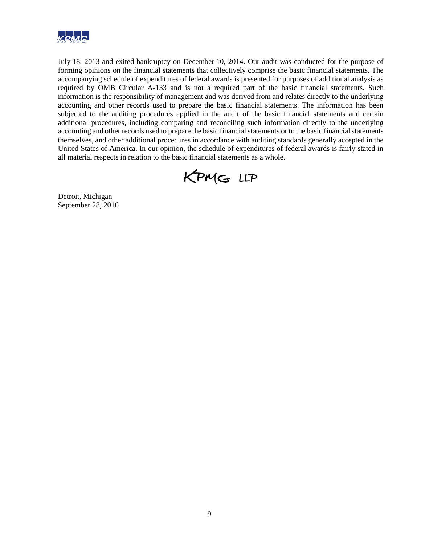

July 18, 2013 and exited bankruptcy on December 10, 2014. Our audit was conducted for the purpose of forming opinions on the financial statements that collectively comprise the basic financial statements. The accompanying schedule of expenditures of federal awards is presented for purposes of additional analysis as required by OMB Circular A-133 and is not a required part of the basic financial statements. Such information is the responsibility of management and was derived from and relates directly to the underlying accounting and other records used to prepare the basic financial statements. The information has been subjected to the auditing procedures applied in the audit of the basic financial statements and certain additional procedures, including comparing and reconciling such information directly to the underlying accounting and other records used to prepare the basic financial statements or to the basic financial statements themselves, and other additional procedures in accordance with auditing standards generally accepted in the United States of America. In our opinion, the schedule of expenditures of federal awards is fairly stated in all material respects in relation to the basic financial statements as a whole.

KPMG LLP

Detroit, Michigan September 28, 2016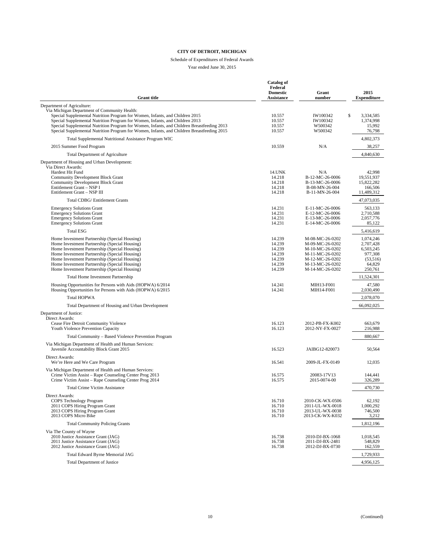#### Schedule of Expenditures of Federal Awards

Year ended June 30, 2015

| <b>Grant title</b>                                                                                                                                                                                                                                                                                                                                                                                       | <b>Catalog of</b><br>Federal<br><b>Domestic</b><br><b>Assistance</b> | Grant<br>number                                                                                                                   | 2015<br><b>Expenditure</b>                                                      |
|----------------------------------------------------------------------------------------------------------------------------------------------------------------------------------------------------------------------------------------------------------------------------------------------------------------------------------------------------------------------------------------------------------|----------------------------------------------------------------------|-----------------------------------------------------------------------------------------------------------------------------------|---------------------------------------------------------------------------------|
| Department of Agriculture:                                                                                                                                                                                                                                                                                                                                                                               |                                                                      |                                                                                                                                   |                                                                                 |
| Via Michigan Department of Community Health:<br>Special Supplemental Nutrition Program for Women, Infants, and Children 2015<br>Special Supplemental Nutrition Program for Women, Infants, and Children 2013<br>Special Supplemental Nutrition Program for Women, Infants, and Children Breastfeeding 2013<br>Special Supplemental Nutrition Program for Women, Infants, and Children Breastfeeding 2015 | 10.557<br>10.557<br>10.557<br>10.557                                 | \$<br>IW100342<br>IW100342<br>W500342<br>W500342                                                                                  | 3,334,585<br>1,374,998<br>15,992<br>76,798                                      |
| Total Supplemental Nutritional Assistance Program WIC                                                                                                                                                                                                                                                                                                                                                    |                                                                      |                                                                                                                                   | 4,802,373                                                                       |
| 2015 Summer Food Program                                                                                                                                                                                                                                                                                                                                                                                 | 10.559                                                               | N/A                                                                                                                               | 38,257                                                                          |
| <b>Total Department of Agriculture</b>                                                                                                                                                                                                                                                                                                                                                                   |                                                                      |                                                                                                                                   | 4,840,630                                                                       |
| Department of Housing and Urban Development:<br>Via Direct Awards:<br>Hardest Hit Fund<br><b>Community Development Block Grant</b><br><b>Community Development Block Grant</b><br>Entitlement Grant - NSP I<br>Entitlement Grant - NSP III                                                                                                                                                               | 14.UNK<br>14.218<br>14.218<br>14.218<br>14.218                       | N/A<br>B-12-MC-26-0006<br>B-13-MC-26-0006<br>B-08-MN-26-004<br>B-11-MN-26-004                                                     | 42,998<br>19,551,937<br>15,822,282<br>166,506<br>11,489,312                     |
| Total CDBG/ Entitlement Grants                                                                                                                                                                                                                                                                                                                                                                           |                                                                      |                                                                                                                                   | 47,073,035                                                                      |
| <b>Emergency Solutions Grant</b><br><b>Emergency Solutions Grant</b><br><b>Emergency Solutions Grant</b><br><b>Emergency Solutions Grant</b>                                                                                                                                                                                                                                                             | 14.231<br>14.231<br>14.231<br>14.231                                 | E-11-MC-26-0006<br>E-12-MC-26-0006<br>E-13-MC-26-0006<br>E-14-MC-26-0006                                                          | 563,133<br>2,710,588<br>2,057,776<br>85,122                                     |
| <b>Total ESG</b>                                                                                                                                                                                                                                                                                                                                                                                         |                                                                      |                                                                                                                                   | 5,416,619                                                                       |
| Home Investment Partnership (Special Housing)<br>Home Investment Partnership (Special Housing)<br>Home Investment Partnership (Special Housing)<br>Home Investment Partnership (Special Housing)<br>Home Investment Partnership (Special Housing)<br>Home Investment Partnership (Special Housing)<br>Home Investment Partnership (Special Housing)                                                      | 14.239<br>14.239<br>14.239<br>14.239<br>14.239<br>14.239<br>14.239   | M-08-MC-26-0202<br>M-09-MC-26-0202<br>M-10-MC-26-0202<br>M-11-MC-26-0202<br>M-12-MC-26-0202<br>M-13-MC-26-0202<br>M-14-MC-26-0202 | 1,074,246<br>2,707,428<br>6,503,245<br>977,308<br>(53,516)<br>64,829<br>250,761 |
| <b>Total Home Investment Partnership</b>                                                                                                                                                                                                                                                                                                                                                                 |                                                                      |                                                                                                                                   | 11,524,301                                                                      |
| Housing Opportunities for Persons with Aids (HOPWA) 6/2014<br>Housing Opportunities for Persons with Aids (HOPWA) 6/2015                                                                                                                                                                                                                                                                                 | 14.241<br>14.241                                                     | MIH13-F001<br>MIH14-F001                                                                                                          | 47,580<br>2,030,490                                                             |
| <b>Total HOPWA</b>                                                                                                                                                                                                                                                                                                                                                                                       |                                                                      |                                                                                                                                   | 2,078,070                                                                       |
| Total Department of Housing and Urban Development                                                                                                                                                                                                                                                                                                                                                        |                                                                      |                                                                                                                                   | 66,092,025                                                                      |
| Department of Justice:<br>Direct Awards:<br>Cease Fire Detroit Community Violence<br>Youth Violence Prevention Capacity                                                                                                                                                                                                                                                                                  | 16.123<br>16.123                                                     | 2012-PB-FX-K002<br>2012-NY-FX-0027                                                                                                | 663,679<br>216,988                                                              |
| Total Community – Based Violence Prevention Program                                                                                                                                                                                                                                                                                                                                                      |                                                                      |                                                                                                                                   | 880,667                                                                         |
| Via Michigan Department of Health and Human Services:<br>Juvenile Accountability Block Grant 2015                                                                                                                                                                                                                                                                                                        | 16.523                                                               | JAIBG12-820073                                                                                                                    | 50,564                                                                          |
| Direct Awards:<br>We're Here and We Care Program                                                                                                                                                                                                                                                                                                                                                         | 16.541                                                               | 2009-JL-FX-0149                                                                                                                   | 12,035                                                                          |
| Via Michigan Department of Health and Human Services:<br>Crime Victim Assist – Rape Counseling Center Prog 2013<br>Crime Victim Assist – Rape Counseling Center Prog 2014                                                                                                                                                                                                                                | 16.575<br>16.575                                                     | 20083-17V13<br>2015-0074-00                                                                                                       | 144,441<br>326,289                                                              |
| <b>Total Crime Victim Assistance</b>                                                                                                                                                                                                                                                                                                                                                                     |                                                                      |                                                                                                                                   | 470,730                                                                         |
| Direct Awards:<br>COPS Technology Program<br>2011 COPS Hiring Program Grant<br>2013 COPS Hiring Program Grant<br>2013 COPS Micro Bike                                                                                                                                                                                                                                                                    | 16.710<br>16.710<br>16.710<br>16.710                                 | 2010-CK-WX-0506<br>2011-UL-WX-0018<br>2013-UL-WX-0038<br>2013-CK-WX-K032                                                          | 62,192<br>1,000,292<br>746,500<br>3,212                                         |
| <b>Total Community Policing Grants</b>                                                                                                                                                                                                                                                                                                                                                                   |                                                                      |                                                                                                                                   | 1,812,196                                                                       |
| Via The County of Wayne<br>2010 Justice Assistance Grant (JAG)<br>2011 Justice Assistance Grant (JAG)<br>2012 Justice Assistance Grant (JAG)                                                                                                                                                                                                                                                             | 16.738<br>16.738<br>16.738                                           | 2010-DJ-BX-1068<br>2011-DJ-BX-2481<br>2012-DJ-BX-0730                                                                             | 1,018,545<br>548,829<br>162,559                                                 |
| Total Edward Byrne Memorial JAG                                                                                                                                                                                                                                                                                                                                                                          |                                                                      |                                                                                                                                   | 1,729,933                                                                       |
| <b>Total Department of Justice</b>                                                                                                                                                                                                                                                                                                                                                                       |                                                                      |                                                                                                                                   | 4,956,125                                                                       |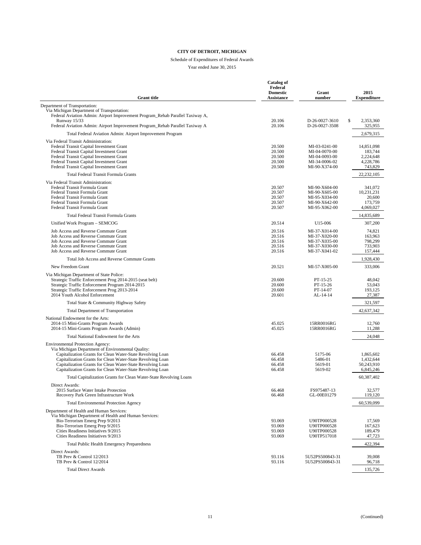#### Schedule of Expenditures of Federal Awards

Year ended June 30, 2015

|                                                                                                                             | <b>Catalog of</b><br>Federal<br><b>Domestic</b> | Grant                              | 2015                    |
|-----------------------------------------------------------------------------------------------------------------------------|-------------------------------------------------|------------------------------------|-------------------------|
| <b>Grant title</b>                                                                                                          | Assistance                                      | number                             | <b>Expenditure</b>      |
| Department of Transportation:                                                                                               |                                                 |                                    |                         |
| Via Michigan Department of Transportation:<br>Federal Aviation Admin: Airport Improvement Program_Rehab Parallel Taxiway A, |                                                 |                                    |                         |
| Runway 15/33                                                                                                                | 20.106                                          | D-26-0027-3610                     | \$<br>2,353,360         |
| Federal Aviation Admin: Airport Improvement Program_Rehab Parallel Taxiway A                                                | 20.106                                          | D-26-0027-3508                     | 325,955                 |
| Total Federal Aviation Admin: Airport Improvement Program                                                                   |                                                 |                                    | 2,679,315               |
| Via Federal Transit Administration:                                                                                         |                                                 |                                    |                         |
| Federal Transit Capital Investment Grant<br>Federal Transit Capital Investment Grant                                        | 20.500<br>20.500                                | MI-03-0241-00<br>MI-04-0070-00     | 14,851,098<br>183,744   |
| Federal Transit Capital Investment Grant                                                                                    | 20.500                                          | MI-04-0093-00                      | 2,224,648               |
| Federal Transit Capital Investment Grant<br>Federal Transit Capital Investment Grant                                        | 20.500<br>20.500                                | MI-34-0006-02<br>MI-90-X374-00     | 4,228,786<br>743,829    |
| Total Federal Transit Formula Grants                                                                                        |                                                 |                                    | 22,232,105              |
| Via Federal Transit Administration:                                                                                         |                                                 |                                    |                         |
| Federal Transit Formula Grant                                                                                               | 20.507                                          | MI-90-X604-00                      | 341,072                 |
| Federal Transit Formula Grant                                                                                               | 20.507                                          | MI-90-X605-00                      | 10,231,231              |
| Federal Transit Formula Grant<br>Federal Transit Formula Grant                                                              | 20.507<br>20.507                                | MI-95-X034-00<br>MI-90-X642-00     | 20,600<br>173,759       |
| Federal Transit Formula Grant                                                                                               | 20.507                                          | MI-95-X062-00                      | 4,069,027               |
| Total Federal Transit Formula Grants                                                                                        |                                                 |                                    | 14,835,689              |
| Unified Work Program - SEMCOG                                                                                               | 20.514                                          | U <sub>15</sub> -006               | 307,200                 |
| Job Access and Reverse Commute Grant                                                                                        | 20.516                                          | MI-37-X014-00                      | 74,821                  |
| Job Access and Reverse Commute Grant                                                                                        | 20.516                                          | MI-37-X020-00                      | 163,963                 |
| Job Access and Reverse Commute Grant<br>Job Access and Reverse Commute Grant                                                | 20.516<br>20.516                                | MI-37-X035-00<br>MI-37-X030-00     | 798,299<br>733,903      |
| Job Access and Reverse Commute Grant                                                                                        | 20.516                                          | MI-37-X041-02                      | 157,444                 |
| Total Job Access and Reverse Commute Grants                                                                                 |                                                 |                                    | 1,928,430               |
| New Freedom Grant                                                                                                           | 20.521                                          | MI-57-X005-00                      | 333,006                 |
| Via Michigan Department of State Police:                                                                                    |                                                 |                                    |                         |
| Strategic Traffic Enforcement Prog 2014-2015 (seat belt)<br>Strategic Traffic Enforcement Program 2014-2015                 | 20.600<br>20.600                                | PT-15-25<br>$PT-15-26$             | 48,042<br>53.043        |
| Strategic Traffic Enforcement Prog 2013-2014                                                                                | 20.600                                          | PT-14-07                           | 193,125                 |
| 2014 Youth Alcohol Enforcement                                                                                              | 20.601                                          | AL-14-14                           | 27,387                  |
| Total State & Community Highway Safety                                                                                      |                                                 |                                    | 321,597                 |
| <b>Total Department of Transportation</b>                                                                                   |                                                 |                                    | 42,637,342              |
| National Endowment for the Arts:                                                                                            |                                                 |                                    |                         |
| 2014-15 Mini-Grants Program Awards<br>2014-15 Mini-Grants Program Awards (Admin)                                            | 45.025<br>45.025                                | 15RR0016RG<br>15RR0016RG           | 12,760<br>11,288        |
| Total National Endowment for the Arts                                                                                       |                                                 |                                    | 24,048                  |
| Environmental Protection Agency:                                                                                            |                                                 |                                    |                         |
| Via Michigan Department of Environmental Quality:                                                                           |                                                 |                                    |                         |
| Capitalization Grants for Clean Water-State Revolving Loan                                                                  | 66.458                                          | 5175-06                            | 1,865,602               |
| Capitalization Grants for Clean Water-State Revolving Loan<br>Capitalization Grants for Clean Water-State Revolving Loan    | 66.458<br>66.458                                | 5486-01<br>5619-01                 | 1,432,644<br>50,243,910 |
| Capitalization Grants for Clean Water-State Revolving Loan                                                                  | 66.458                                          | 5619-02                            | 6,845,246               |
| Total Capitalization Grants for Clean Water-State Revolving Loans                                                           |                                                 |                                    | 60,387,402              |
| Direct Awards:                                                                                                              |                                                 |                                    |                         |
| 2015 Surface Water Intake Protection<br>Recovery Park Green Infrastructure Work                                             | 66.468<br>66.468                                | FS975487-13<br>GL-00E01279         | 32,577<br>119,120       |
| <b>Total Environmental Protection Agency</b>                                                                                |                                                 |                                    | 60,539,099              |
| Department of Health and Human Services:                                                                                    |                                                 |                                    |                         |
| Via Michigan Department of Health and Human Services:                                                                       |                                                 |                                    |                         |
| Bio-Terrorism Emerg Prep 9/2013<br>Bio-Terrorism Emerg Prep 9/2015                                                          | 93.069                                          | U90TP000528                        | 17.569                  |
| Cities Readiness Initiatives 9/2015                                                                                         | 93.069<br>93.069                                | U90TP000528<br>U90TP000528         | 167,623<br>189,479      |
| Cities Readiness Initiatives 9/2013                                                                                         | 93.069                                          | U90TP517018                        | 47,723                  |
| Total Public Health Emergency Preparedness                                                                                  |                                                 |                                    | 422,394                 |
| Direct Awards:                                                                                                              |                                                 |                                    |                         |
| TB Prev & Control 12/2013<br>TB Prev & Control 12/2014                                                                      | 93.116<br>93.116                                | 5U52PS500843-31<br>5U52PS500843-31 | 39,008<br>96,718        |
| <b>Total Direct Awards</b>                                                                                                  |                                                 |                                    | 135,726                 |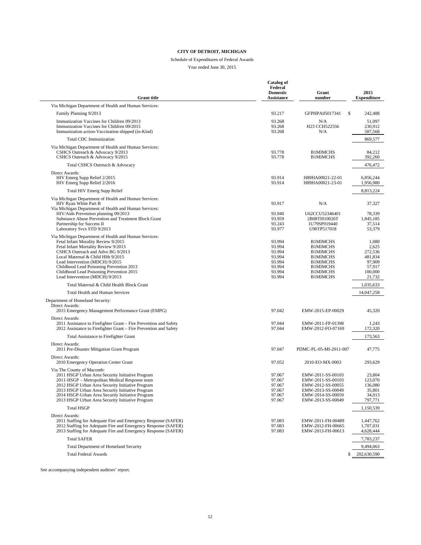#### Schedule of Expenditures of Federal Awards

Year ended June 30, 2015

| <b>Grant title</b>                                                                                                                                                                                                                                                                                                                                                       | Catalog of<br>Federal<br><b>Domestic</b><br>Assistance             | Grant<br>number                                                                                                                   | 2015<br><b>Expenditure</b>                                          |
|--------------------------------------------------------------------------------------------------------------------------------------------------------------------------------------------------------------------------------------------------------------------------------------------------------------------------------------------------------------------------|--------------------------------------------------------------------|-----------------------------------------------------------------------------------------------------------------------------------|---------------------------------------------------------------------|
| Via Michigan Department of Health and Human Services:                                                                                                                                                                                                                                                                                                                    |                                                                    |                                                                                                                                   |                                                                     |
| Family Planning 9/2013                                                                                                                                                                                                                                                                                                                                                   | 93.217                                                             | \$<br>GFPHPA05017341                                                                                                              | 242,488                                                             |
| Immunization Vaccines for Children 09/2013<br>Immunization Vaccines for Children 09/2015<br>Immunization action-Vaccination shipped (in-Kind)                                                                                                                                                                                                                            | 93.268<br>93.268<br>93.268                                         | N/A<br>H23 CCH522556<br>N/A                                                                                                       | 51,097<br>230,912<br>587,568                                        |
| <b>Total CDC Immunization</b>                                                                                                                                                                                                                                                                                                                                            |                                                                    |                                                                                                                                   | 869,577                                                             |
| Via Michigan Department of Health and Human Services:<br>CSHCS Outreach & Advocacy 9/2013<br>CSHCS Outreach & Advocacy 9/2015                                                                                                                                                                                                                                            | 93.778<br>93.778                                                   | <b>B1MIMCHS</b><br><b>B1MIMCHS</b>                                                                                                | 84,212<br>392,260                                                   |
| Total CSHCS Outreach & Advocacy                                                                                                                                                                                                                                                                                                                                          |                                                                    |                                                                                                                                   | 476,472                                                             |
| Direct Awards:<br>HIV Emerg Supp Relief 2/2015<br>HIV Emerg Supp Relief 2/2016                                                                                                                                                                                                                                                                                           | 93.914<br>93.914                                                   | H89HA00021-22-01<br>H89HA00021-23-01                                                                                              | 6,856,244<br>1,956,980                                              |
| <b>Total HIV Emerg Supp Relief</b>                                                                                                                                                                                                                                                                                                                                       |                                                                    |                                                                                                                                   | 8,813,224                                                           |
| Via Michigan Department of Health and Human Services:<br>HIV Ryan White Part B<br>Via Michigan Department of Health and Human Services:                                                                                                                                                                                                                                  | 93.917                                                             | N/A                                                                                                                               | 37,327                                                              |
| HIV/Aids Prevention planning 09/2013<br>Substance Abuse Prevention and Treatment Block Grant<br>Partnership for Success II                                                                                                                                                                                                                                               | 93.940<br>93.959<br>93.243<br>93.977                               | U62CCU52346401<br>2B08TI010026T<br>1U79SP019440<br>U90TP517018                                                                    | 78,339<br>1.845.185<br>37,514<br>53,379                             |
| Laboratory Svcs STD 9/2013<br>Via Michigan Department of Health and Human Services:<br>Fetal Infant Morality Review 9/2015<br>Fetal Infant Mortality Review 9/2013<br>CSHCS Outreach and Advo BG 9/2013<br>Local Maternal & Child Hlth 9/2015<br>Lead Intervention (MDCH) 9/2015<br>Childhood Lead Poisoning Prevention 2013<br>Childhood Lead Poisoning Prevention 2015 | 93.994<br>93.994<br>93.994<br>93.994<br>93.994<br>93.994<br>93.994 | <b>B1MIMCHS</b><br><b>B1MIMCHS</b><br><b>B1MIMCHS</b><br><b>B1MIMCHS</b><br><b>B1MIMCHS</b><br><b>B1MIMCHS</b><br><b>B1MIMCHS</b> | 1,080<br>2,625<br>272,536<br>481,834<br>97,909<br>57,917<br>100,000 |
| Lead Intervention (MDCH) 9/2013<br>Total Maternal & Child Health Block Grant                                                                                                                                                                                                                                                                                             | 93.994                                                             | <b>B1MIMCHS</b>                                                                                                                   | 21,732                                                              |
| Total Health and Human Services                                                                                                                                                                                                                                                                                                                                          |                                                                    |                                                                                                                                   | 1,035,633<br>14,047,258                                             |
| Department of Homeland Security:<br>Direct Awards:<br>2015 Emergency Management Performance Grant (EMPG)                                                                                                                                                                                                                                                                 | 97.042                                                             | EMW-2015-EP-00029                                                                                                                 | 45,320                                                              |
| Direct Awards:<br>2011 Assistance to Firefighter Grant – Fire Prevention and Safety<br>2012 Assistance to Firefighter Grant - Fire Prevention and Safety                                                                                                                                                                                                                 | 97.044<br>97.044                                                   | EMW-2011-FP-01398<br>EMW-2012-FO-07169                                                                                            | 1,243<br>172,320                                                    |
| Total Assistance to Firefighter Grant                                                                                                                                                                                                                                                                                                                                    |                                                                    |                                                                                                                                   | 173,563                                                             |
| Direct Awards:<br>2011 Pre-Disaster Mitigation Grant Program<br>Direct Awards:                                                                                                                                                                                                                                                                                           | 97.047                                                             | PDMC-PL-05-MI-2011-007                                                                                                            | 47,775                                                              |
| 2010 Emergency Operation Center Grant                                                                                                                                                                                                                                                                                                                                    | 97.052                                                             | 2010-EO-MX-0003                                                                                                                   | 293,629                                                             |
| Via The County of Macomb:<br>2011 HSGP Urban Area Security Initiative Program<br>2011-HSGP - Metropolitan Medical Response team<br>2012 HSGP Urban Area Security Initiative Program<br>2013 HSGP Urban Area Security Initiative Program<br>2014 HSGP-Urban Area Security Initiative Program<br>2013 HSGP Urban Area Security Initiative Program                          | 97.067<br>97.067<br>97.067<br>97.067<br>97.067<br>97.067           | EMW-2011-SS-00103<br>EMW-2011-SS-00103<br>EMW-2012-SS-00055<br>EMW-2013-SS-00049<br>EMW-2014-SS-00059<br>EMW-2013-SS-00049        | 23,804<br>123,070<br>136,080<br>35,801<br>34,013<br>797,771         |
| <b>Total HSGP</b>                                                                                                                                                                                                                                                                                                                                                        |                                                                    |                                                                                                                                   | 1,150,539                                                           |
| Direct Awards:<br>2011 Staffing for Adequate Fire and Emergency Response (SAFER)<br>2012 Staffing for Adequate Fire and Emergency Response (SAFER)<br>2013 Staffing for Adequate Fire and Emergency Response (SAFER)                                                                                                                                                     | 97.083<br>97.083<br>97.083                                         | EMW-2011-FH-00489<br>EMW-2012-FH-00665<br>EMW-2013-FH-00613                                                                       | 1,447,762<br>1,707,031<br>4,628,444                                 |
| <b>Total SAFER</b>                                                                                                                                                                                                                                                                                                                                                       |                                                                    |                                                                                                                                   | 7,783,237                                                           |
| Total Department of Homeland Security                                                                                                                                                                                                                                                                                                                                    |                                                                    |                                                                                                                                   | 9,494,063                                                           |
| <b>Total Federal Awards</b>                                                                                                                                                                                                                                                                                                                                              |                                                                    | \$.                                                                                                                               | 202,630,590                                                         |

See accompanying independent auditors' report.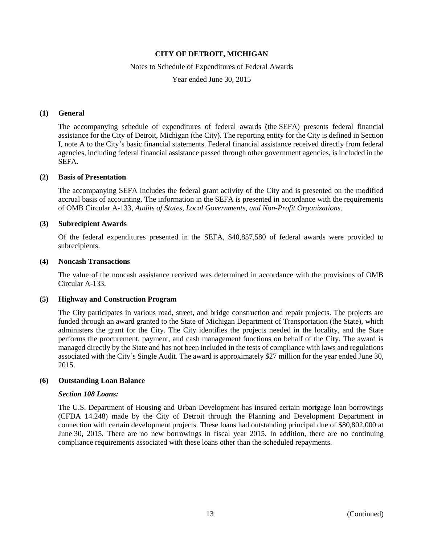#### Notes to Schedule of Expenditures of Federal Awards

Year ended June 30, 2015

### **(1) General**

The accompanying schedule of expenditures of federal awards (the SEFA) presents federal financial assistance for the City of Detroit, Michigan (the City). The reporting entity for the City is defined in Section I, note A to the City's basic financial statements. Federal financial assistance received directly from federal agencies, including federal financial assistance passed through other government agencies, is included in the SEFA.

#### **(2) Basis of Presentation**

The accompanying SEFA includes the federal grant activity of the City and is presented on the modified accrual basis of accounting. The information in the SEFA is presented in accordance with the requirements of OMB Circular A-133, *Audits of States, Local Governments, and Non-Profit Organizations*.

#### **(3) Subrecipient Awards**

Of the federal expenditures presented in the SEFA, \$40,857,580 of federal awards were provided to subrecipients.

#### **(4) Noncash Transactions**

The value of the noncash assistance received was determined in accordance with the provisions of OMB Circular A-133.

#### **(5) Highway and Construction Program**

The City participates in various road, street, and bridge construction and repair projects. The projects are funded through an award granted to the State of Michigan Department of Transportation (the State), which administers the grant for the City. The City identifies the projects needed in the locality, and the State performs the procurement, payment, and cash management functions on behalf of the City. The award is managed directly by the State and has not been included in the tests of compliance with laws and regulations associated with the City's Single Audit. The award is approximately \$27 million for the year ended June 30, 2015.

#### **(6) Outstanding Loan Balance**

#### *Section 108 Loans:*

The U.S. Department of Housing and Urban Development has insured certain mortgage loan borrowings (CFDA 14.248) made by the City of Detroit through the Planning and Development Department in connection with certain development projects. These loans had outstanding principal due of \$80,802,000 at June 30, 2015. There are no new borrowings in fiscal year 2015. In addition, there are no continuing compliance requirements associated with these loans other than the scheduled repayments.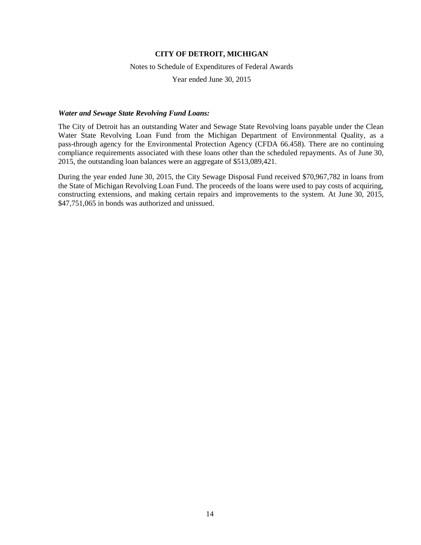#### Notes to Schedule of Expenditures of Federal Awards

Year ended June 30, 2015

#### *Water and Sewage State Revolving Fund Loans:*

The City of Detroit has an outstanding Water and Sewage State Revolving loans payable under the Clean Water State Revolving Loan Fund from the Michigan Department of Environmental Quality, as a pass-through agency for the Environmental Protection Agency (CFDA 66.458). There are no continuing compliance requirements associated with these loans other than the scheduled repayments. As of June 30, 2015, the outstanding loan balances were an aggregate of \$513,089,421.

During the year ended June 30, 2015, the City Sewage Disposal Fund received \$70,967,782 in loans from the State of Michigan Revolving Loan Fund. The proceeds of the loans were used to pay costs of acquiring, constructing extensions, and making certain repairs and improvements to the system. At June 30, 2015, \$47,751,065 in bonds was authorized and unissued.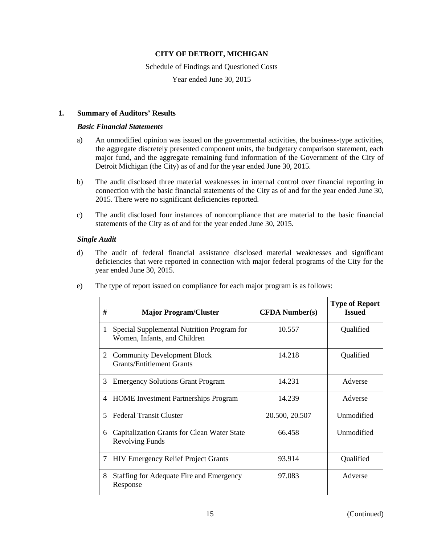#### Schedule of Findings and Questioned Costs

Year ended June 30, 2015

### **1. Summary of Auditors' Results**

#### *Basic Financial Statements*

- a) An unmodified opinion was issued on the governmental activities, the business-type activities, the aggregate discretely presented component units, the budgetary comparison statement, each major fund, and the aggregate remaining fund information of the Government of the City of Detroit Michigan (the City) as of and for the year ended June 30, 2015.
- b) The audit disclosed three material weaknesses in internal control over financial reporting in connection with the basic financial statements of the City as of and for the year ended June 30, 2015. There were no significant deficiencies reported.
- c) The audit disclosed four instances of noncompliance that are material to the basic financial statements of the City as of and for the year ended June 30, 2015.

### *Single Audit*

d) The audit of federal financial assistance disclosed material weaknesses and significant deficiencies that were reported in connection with major federal programs of the City for the year ended June 30, 2015.

| #              | <b>Major Program/Cluster</b>                                               | <b>CFDA Number(s)</b> | <b>Type of Report</b><br><b>Issued</b> |
|----------------|----------------------------------------------------------------------------|-----------------------|----------------------------------------|
| 1              | Special Supplemental Nutrition Program for<br>Women, Infants, and Children | 10.557                | Qualified                              |
| $\overline{2}$ | <b>Community Development Block</b><br><b>Grants/Entitlement Grants</b>     | 14.218                | Qualified                              |
| 3              | <b>Emergency Solutions Grant Program</b>                                   | 14.231                | Adverse                                |
| $\overline{4}$ | <b>HOME</b> Investment Partnerships Program                                | 14.239                | Adverse                                |
| $\overline{5}$ | <b>Federal Transit Cluster</b>                                             | 20.500, 20.507        | Unmodified                             |
| 6              | Capitalization Grants for Clean Water State<br><b>Revolving Funds</b>      | 66.458                | Unmodified                             |
| 7              | <b>HIV Emergency Relief Project Grants</b>                                 | 93.914                | Qualified                              |
| 8              | Staffing for Adequate Fire and Emergency<br>Response                       | 97.083                | Adverse                                |

e) The type of report issued on compliance for each major program is as follows: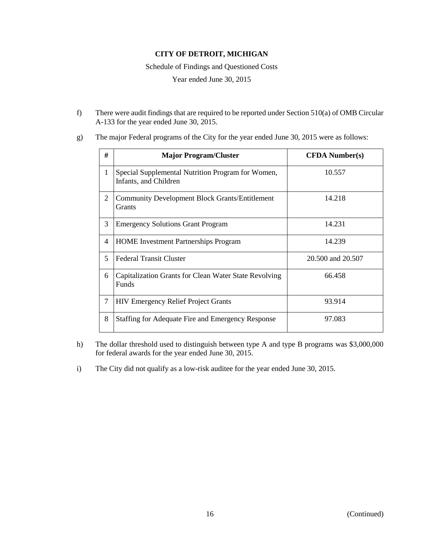Schedule of Findings and Questioned Costs

Year ended June 30, 2015

f) There were audit findings that are required to be reported under Section 510(a) of OMB Circular A-133 for the year ended June 30, 2015.

| #                       | <b>Major Program/Cluster</b>                                               | <b>CFDA</b> Number(s) |
|-------------------------|----------------------------------------------------------------------------|-----------------------|
| 1                       | Special Supplemental Nutrition Program for Women,<br>Infants, and Children | 10.557                |
| 2                       | <b>Community Development Block Grants/Entitlement</b><br>Grants            | 14.218                |
| 3                       | <b>Emergency Solutions Grant Program</b>                                   | 14.231                |
| 4                       | <b>HOME</b> Investment Partnerships Program                                | 14.239                |
| $\overline{\mathbf{5}}$ | <b>Federal Transit Cluster</b>                                             | 20.500 and 20.507     |
| 6                       | Capitalization Grants for Clean Water State Revolving<br><b>Funds</b>      | 66.458                |
| 7                       | <b>HIV Emergency Relief Project Grants</b>                                 | 93.914                |
| 8                       | <b>Staffing for Adequate Fire and Emergency Response</b>                   | 97.083                |

g) The major Federal programs of the City for the year ended June 30, 2015 were as follows:

- h) The dollar threshold used to distinguish between type A and type B programs was \$3,000,000 for federal awards for the year ended June 30, 2015.
- i) The City did not qualify as a low-risk auditee for the year ended June 30, 2015.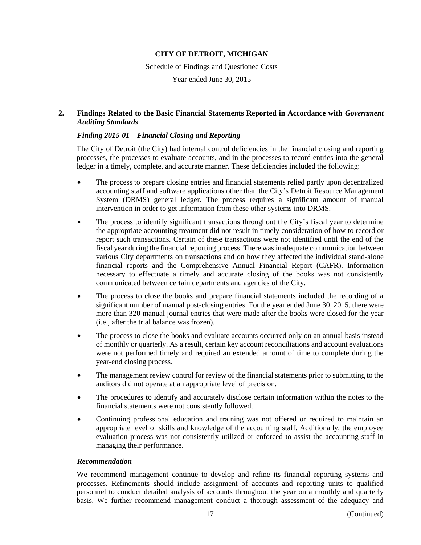Schedule of Findings and Questioned Costs

Year ended June 30, 2015

### **2. Findings Related to the Basic Financial Statements Reported in Accordance with** *Government Auditing Standards*

### *Finding 2015-01 – Financial Closing and Reporting*

The City of Detroit (the City) had internal control deficiencies in the financial closing and reporting processes, the processes to evaluate accounts, and in the processes to record entries into the general ledger in a timely, complete, and accurate manner. These deficiencies included the following:

- The process to prepare closing entries and financial statements relied partly upon decentralized accounting staff and software applications other than the City's Detroit Resource Management System (DRMS) general ledger. The process requires a significant amount of manual intervention in order to get information from these other systems into DRMS.
- The process to identify significant transactions throughout the City's fiscal year to determine the appropriate accounting treatment did not result in timely consideration of how to record or report such transactions. Certain of these transactions were not identified until the end of the fiscal year during the financial reporting process. There was inadequate communication between various City departments on transactions and on how they affected the individual stand-alone financial reports and the Comprehensive Annual Financial Report (CAFR). Information necessary to effectuate a timely and accurate closing of the books was not consistently communicated between certain departments and agencies of the City.
- The process to close the books and prepare financial statements included the recording of a significant number of manual post-closing entries. For the year ended June 30, 2015, there were more than 320 manual journal entries that were made after the books were closed for the year (i.e., after the trial balance was frozen).
- The process to close the books and evaluate accounts occurred only on an annual basis instead of monthly or quarterly. As a result, certain key account reconciliations and account evaluations were not performed timely and required an extended amount of time to complete during the year-end closing process.
- The management review control for review of the financial statements prior to submitting to the auditors did not operate at an appropriate level of precision.
- The procedures to identify and accurately disclose certain information within the notes to the financial statements were not consistently followed.
- Continuing professional education and training was not offered or required to maintain an appropriate level of skills and knowledge of the accounting staff. Additionally, the employee evaluation process was not consistently utilized or enforced to assist the accounting staff in managing their performance.

#### *Recommendation*

We recommend management continue to develop and refine its financial reporting systems and processes. Refinements should include assignment of accounts and reporting units to qualified personnel to conduct detailed analysis of accounts throughout the year on a monthly and quarterly basis. We further recommend management conduct a thorough assessment of the adequacy and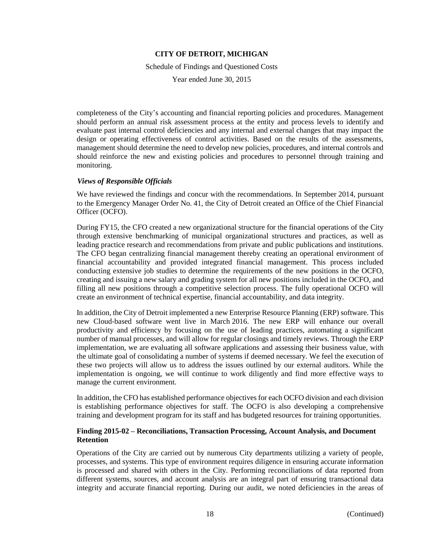Schedule of Findings and Questioned Costs

Year ended June 30, 2015

completeness of the City's accounting and financial reporting policies and procedures. Management should perform an annual risk assessment process at the entity and process levels to identify and evaluate past internal control deficiencies and any internal and external changes that may impact the design or operating effectiveness of control activities. Based on the results of the assessments, management should determine the need to develop new policies, procedures, and internal controls and should reinforce the new and existing policies and procedures to personnel through training and monitoring.

#### *Views of Responsible Officials*

We have reviewed the findings and concur with the recommendations. In September 2014, pursuant to the Emergency Manager Order No. 41, the City of Detroit created an Office of the Chief Financial Officer (OCFO).

During FY15, the CFO created a new organizational structure for the financial operations of the City through extensive benchmarking of municipal organizational structures and practices, as well as leading practice research and recommendations from private and public publications and institutions. The CFO began centralizing financial management thereby creating an operational environment of financial accountability and provided integrated financial management. This process included conducting extensive job studies to determine the requirements of the new positions in the OCFO, creating and issuing a new salary and grading system for all new positions included in the OCFO, and filling all new positions through a competitive selection process. The fully operational OCFO will create an environment of technical expertise, financial accountability, and data integrity.

In addition, the City of Detroit implemented a new Enterprise Resource Planning (ERP) software. This new Cloud-based software went live in March 2016. The new ERP will enhance our overall productivity and efficiency by focusing on the use of leading practices, automating a significant number of manual processes, and will allow for regular closings and timely reviews. Through the ERP implementation, we are evaluating all software applications and assessing their business value, with the ultimate goal of consolidating a number of systems if deemed necessary. We feel the execution of these two projects will allow us to address the issues outlined by our external auditors. While the implementation is ongoing, we will continue to work diligently and find more effective ways to manage the current environment.

In addition, the CFO has established performance objectives for each OCFO division and each division is establishing performance objectives for staff. The OCFO is also developing a comprehensive training and development program for its staff and has budgeted resources for training opportunities.

### **Finding 2015-02 – Reconciliations, Transaction Processing, Account Analysis, and Document Retention**

Operations of the City are carried out by numerous City departments utilizing a variety of people, processes, and systems. This type of environment requires diligence in ensuring accurate information is processed and shared with others in the City. Performing reconciliations of data reported from different systems, sources, and account analysis are an integral part of ensuring transactional data integrity and accurate financial reporting. During our audit, we noted deficiencies in the areas of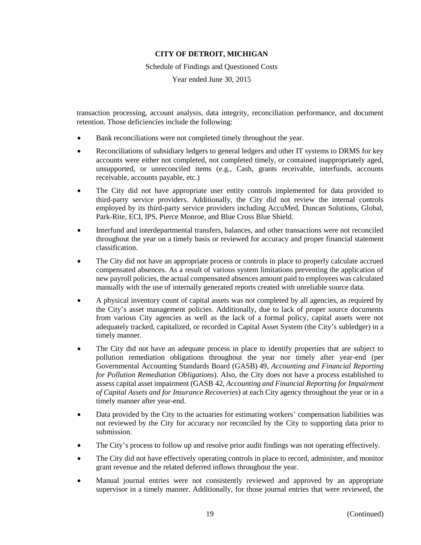Schedule of Findings and Questioned Costs

Year ended June 30, 2015

transaction processing, account analysis, data integrity, reconciliation performance, and document retention. Those deficiencies include the following:

- Bank reconciliations were not completed timely throughout the year.
- Reconciliations of subsidiary ledgers to general ledgers and other IT systems to DRMS for key accounts were either not completed, not completed timely, or contained inappropriately aged, unsupported, or unreconciled items (e.g., Cash, grants receivable, interfunds, accounts receivable, accounts payable, etc.)
- The City did not have appropriate user entity controls implemented for data provided to third-party service providers. Additionally, the City did not review the internal controls employed by its third-party service providers including AccuMed, Duncan Solutions, Global, Park-Rite, ECI, IPS, Pierce Monroe, and Blue Cross Blue Shield.
- Interfund and interdepartmental transfers, balances, and other transactions were not reconciled throughout the year on a timely basis or reviewed for accuracy and proper financial statement classification.
- The City did not have an appropriate process or controls in place to properly calculate accrued compensated absences. As a result of various system limitations preventing the application of new payroll policies, the actual compensated absences amount paid to employees was calculated manually with the use of internally generated reports created with unreliable source data.
- A physical inventory count of capital assets was not completed by all agencies, as required by the City's asset management policies. Additionally, due to lack of proper source documents from various City agencies as well as the lack of a formal policy, capital assets were not adequately tracked, capitalized, or recorded in Capital Asset System (the City's subledger) in a timely manner.
- The City did not have an adequate process in place to identify properties that are subject to pollution remediation obligations throughout the year nor timely after year-end (per Governmental Accounting Standards Board (GASB) 49, *Accounting and Financial Reporting for Pollution Remediation Obligations*). Also, the City does not have a process established to assess capital asset impairment (GASB 42, *Accounting and Financial Reporting for Impairment of Capital Assets and for Insurance Recoveries*) at each City agency throughout the year or in a timely manner after year-end.
- Data provided by the City to the actuaries for estimating workers' compensation liabilities was not reviewed by the City for accuracy nor reconciled by the City to supporting data prior to submission.
- The City's process to follow up and resolve prior audit findings was not operating effectively.
- The City did not have effectively operating controls in place to record, administer, and monitor grant revenue and the related deferred inflows throughout the year.
- Manual journal entries were not consistently reviewed and approved by an appropriate supervisor in a timely manner. Additionally, for those journal entries that were reviewed, the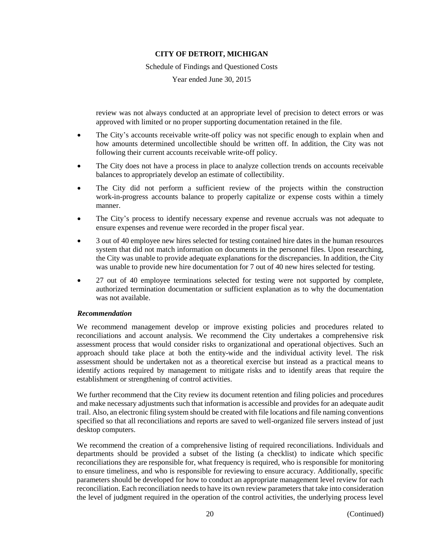Schedule of Findings and Questioned Costs

Year ended June 30, 2015

review was not always conducted at an appropriate level of precision to detect errors or was approved with limited or no proper supporting documentation retained in the file.

- The City's accounts receivable write-off policy was not specific enough to explain when and how amounts determined uncollectible should be written off. In addition, the City was not following their current accounts receivable write-off policy.
- The City does not have a process in place to analyze collection trends on accounts receivable balances to appropriately develop an estimate of collectibility.
- The City did not perform a sufficient review of the projects within the construction work-in-progress accounts balance to properly capitalize or expense costs within a timely manner.
- The City's process to identify necessary expense and revenue accruals was not adequate to ensure expenses and revenue were recorded in the proper fiscal year.
- 3 out of 40 employee new hires selected for testing contained hire dates in the human resources system that did not match information on documents in the personnel files. Upon researching, the City was unable to provide adequate explanations for the discrepancies. In addition, the City was unable to provide new hire documentation for 7 out of 40 new hires selected for testing.
- 27 out of 40 employee terminations selected for testing were not supported by complete, authorized termination documentation or sufficient explanation as to why the documentation was not available.

#### *Recommendation*

We recommend management develop or improve existing policies and procedures related to reconciliations and account analysis. We recommend the City undertakes a comprehensive risk assessment process that would consider risks to organizational and operational objectives. Such an approach should take place at both the entity-wide and the individual activity level. The risk assessment should be undertaken not as a theoretical exercise but instead as a practical means to identify actions required by management to mitigate risks and to identify areas that require the establishment or strengthening of control activities.

We further recommend that the City review its document retention and filing policies and procedures and make necessary adjustments such that information is accessible and provides for an adequate audit trail. Also, an electronic filing system should be created with file locations and file naming conventions specified so that all reconciliations and reports are saved to well-organized file servers instead of just desktop computers.

We recommend the creation of a comprehensive listing of required reconciliations. Individuals and departments should be provided a subset of the listing (a checklist) to indicate which specific reconciliations they are responsible for, what frequency is required, who is responsible for monitoring to ensure timeliness, and who is responsible for reviewing to ensure accuracy. Additionally, specific parameters should be developed for how to conduct an appropriate management level review for each reconciliation. Each reconciliation needs to have its own review parameters that take into consideration the level of judgment required in the operation of the control activities, the underlying process level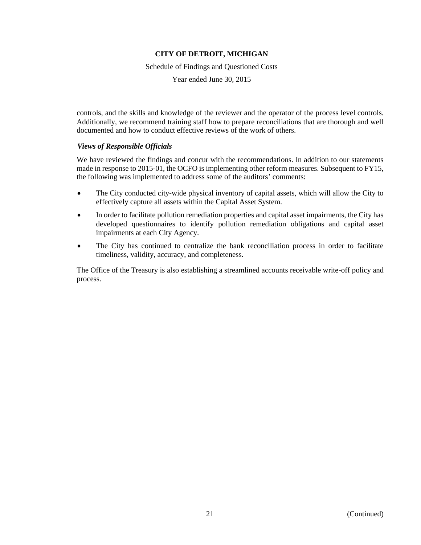Schedule of Findings and Questioned Costs

Year ended June 30, 2015

controls, and the skills and knowledge of the reviewer and the operator of the process level controls. Additionally, we recommend training staff how to prepare reconciliations that are thorough and well documented and how to conduct effective reviews of the work of others.

### *Views of Responsible Officials*

We have reviewed the findings and concur with the recommendations. In addition to our statements made in response to 2015-01, the OCFO is implementing other reform measures. Subsequent to FY15, the following was implemented to address some of the auditors' comments:

- The City conducted city-wide physical inventory of capital assets, which will allow the City to effectively capture all assets within the Capital Asset System.
- In order to facilitate pollution remediation properties and capital asset impairments, the City has developed questionnaires to identify pollution remediation obligations and capital asset impairments at each City Agency.
- The City has continued to centralize the bank reconciliation process in order to facilitate timeliness, validity, accuracy, and completeness.

The Office of the Treasury is also establishing a streamlined accounts receivable write-off policy and process.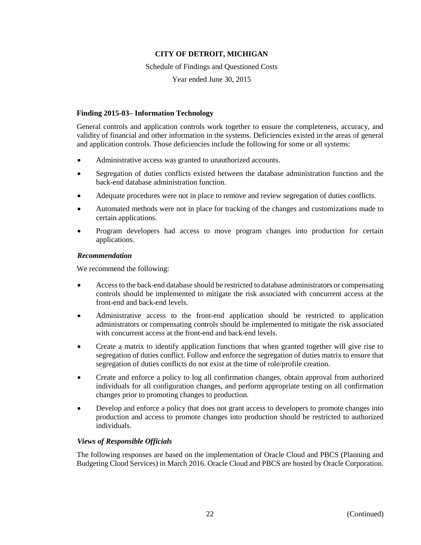Schedule of Findings and Questioned Costs

Year ended June 30, 2015

### **Finding 2015-03– Information Technology**

General controls and application controls work together to ensure the completeness, accuracy, and validity of financial and other information in the systems. Deficiencies existed in the areas of general and application controls. Those deficiencies include the following for some or all systems:

- Administrative access was granted to unauthorized accounts.
- Segregation of duties conflicts existed between the database administration function and the back-end database administration function.
- Adequate procedures were not in place to remove and review segregation of duties conflicts.
- Automated methods were not in place for tracking of the changes and customizations made to certain applications.
- Program developers had access to move program changes into production for certain applications.

### *Recommendation*

We recommend the following:

- Access to the back-end database should be restricted to database administrators or compensating controls should be implemented to mitigate the risk associated with concurrent access at the front-end and back-end levels.
- Administrative access to the front-end application should be restricted to application administrators or compensating controls should be implemented to mitigate the risk associated with concurrent access at the front-end and back-end levels.
- Create a matrix to identify application functions that when granted together will give rise to segregation of duties conflict. Follow and enforce the segregation of duties matrix to ensure that segregation of duties conflicts do not exist at the time of role/profile creation.
- Create and enforce a policy to log all confirmation changes, obtain approval from authorized individuals for all configuration changes, and perform appropriate testing on all confirmation changes prior to promoting changes to production.
- Develop and enforce a policy that does not grant access to developers to promote changes into production and access to promote changes into production should be restricted to authorized individuals.

### *Views of Responsible Officials*

The following responses are based on the implementation of Oracle Cloud and PBCS (Planning and Budgeting Cloud Services) in March 2016. Oracle Cloud and PBCS are hosted by Oracle Corporation.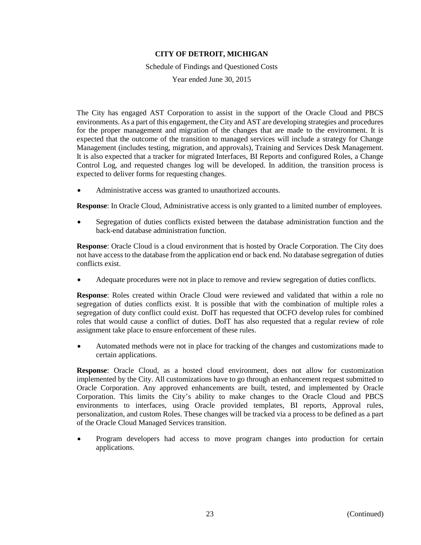Schedule of Findings and Questioned Costs

Year ended June 30, 2015

The City has engaged AST Corporation to assist in the support of the Oracle Cloud and PBCS environments. As a part of this engagement, the City and AST are developing strategies and procedures for the proper management and migration of the changes that are made to the environment. It is expected that the outcome of the transition to managed services will include a strategy for Change Management (includes testing, migration, and approvals), Training and Services Desk Management. It is also expected that a tracker for migrated Interfaces, BI Reports and configured Roles, a Change Control Log, and requested changes log will be developed. In addition, the transition process is expected to deliver forms for requesting changes.

Administrative access was granted to unauthorized accounts.

**Response**: In Oracle Cloud, Administrative access is only granted to a limited number of employees.

 Segregation of duties conflicts existed between the database administration function and the back-end database administration function.

**Response**: Oracle Cloud is a cloud environment that is hosted by Oracle Corporation. The City does not have access to the database from the application end or back end. No database segregation of duties conflicts exist.

Adequate procedures were not in place to remove and review segregation of duties conflicts.

**Response**: Roles created within Oracle Cloud were reviewed and validated that within a role no segregation of duties conflicts exist. It is possible that with the combination of multiple roles a segregation of duty conflict could exist. DoIT has requested that OCFO develop rules for combined roles that would cause a conflict of duties. DoIT has also requested that a regular review of role assignment take place to ensure enforcement of these rules.

 Automated methods were not in place for tracking of the changes and customizations made to certain applications.

**Response**: Oracle Cloud, as a hosted cloud environment, does not allow for customization implemented by the City. All customizations have to go through an enhancement request submitted to Oracle Corporation. Any approved enhancements are built, tested, and implemented by Oracle Corporation. This limits the City's ability to make changes to the Oracle Cloud and PBCS environments to interfaces, using Oracle provided templates, BI reports, Approval rules, personalization, and custom Roles. These changes will be tracked via a process to be defined as a part of the Oracle Cloud Managed Services transition.

 Program developers had access to move program changes into production for certain applications.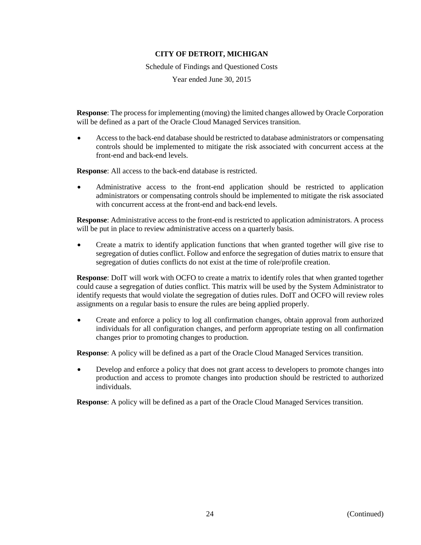Schedule of Findings and Questioned Costs

Year ended June 30, 2015

**Response**: The process for implementing (moving) the limited changes allowed by Oracle Corporation will be defined as a part of the Oracle Cloud Managed Services transition.

 Access to the back-end database should be restricted to database administrators or compensating controls should be implemented to mitigate the risk associated with concurrent access at the front-end and back-end levels.

**Response**: All access to the back-end database is restricted.

 Administrative access to the front-end application should be restricted to application administrators or compensating controls should be implemented to mitigate the risk associated with concurrent access at the front-end and back-end levels.

**Response**: Administrative access to the front-end is restricted to application administrators. A process will be put in place to review administrative access on a quarterly basis.

 Create a matrix to identify application functions that when granted together will give rise to segregation of duties conflict. Follow and enforce the segregation of duties matrix to ensure that segregation of duties conflicts do not exist at the time of role/profile creation.

**Response**: DoIT will work with OCFO to create a matrix to identify roles that when granted together could cause a segregation of duties conflict. This matrix will be used by the System Administrator to identify requests that would violate the segregation of duties rules. DoIT and OCFO will review roles assignments on a regular basis to ensure the rules are being applied properly.

 Create and enforce a policy to log all confirmation changes, obtain approval from authorized individuals for all configuration changes, and perform appropriate testing on all confirmation changes prior to promoting changes to production.

**Response**: A policy will be defined as a part of the Oracle Cloud Managed Services transition.

 Develop and enforce a policy that does not grant access to developers to promote changes into production and access to promote changes into production should be restricted to authorized individuals.

**Response**: A policy will be defined as a part of the Oracle Cloud Managed Services transition.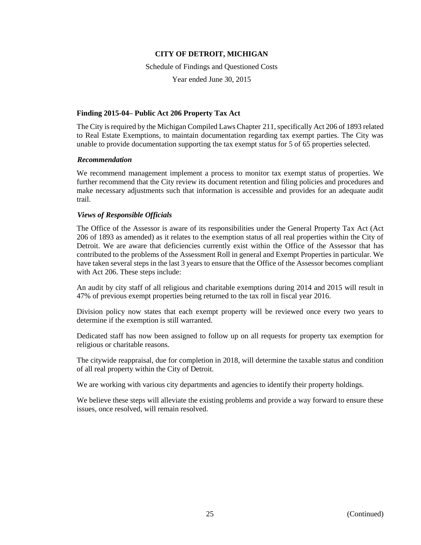Schedule of Findings and Questioned Costs

Year ended June 30, 2015

### **Finding 2015-04– Public Act 206 Property Tax Act**

The City is required by the Michigan Compiled Laws Chapter 211, specifically Act 206 of 1893 related to Real Estate Exemptions, to maintain documentation regarding tax exempt parties. The City was unable to provide documentation supporting the tax exempt status for 5 of 65 properties selected.

### *Recommendation*

We recommend management implement a process to monitor tax exempt status of properties. We further recommend that the City review its document retention and filing policies and procedures and make necessary adjustments such that information is accessible and provides for an adequate audit trail.

### *Views of Responsible Officials*

The Office of the Assessor is aware of its responsibilities under the General Property Tax Act (Act 206 of 1893 as amended) as it relates to the exemption status of all real properties within the City of Detroit. We are aware that deficiencies currently exist within the Office of the Assessor that has contributed to the problems of the Assessment Roll in general and Exempt Properties in particular. We have taken several steps in the last 3 years to ensure that the Office of the Assessor becomes compliant with Act 206. These steps include:

An audit by city staff of all religious and charitable exemptions during 2014 and 2015 will result in 47% of previous exempt properties being returned to the tax roll in fiscal year 2016.

Division policy now states that each exempt property will be reviewed once every two years to determine if the exemption is still warranted.

Dedicated staff has now been assigned to follow up on all requests for property tax exemption for religious or charitable reasons.

The citywide reappraisal, due for completion in 2018, will determine the taxable status and condition of all real property within the City of Detroit.

We are working with various city departments and agencies to identify their property holdings.

We believe these steps will alleviate the existing problems and provide a way forward to ensure these issues, once resolved, will remain resolved.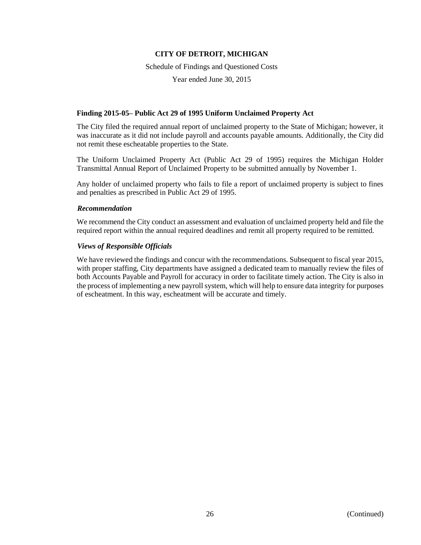Schedule of Findings and Questioned Costs

Year ended June 30, 2015

### **Finding 2015-05– Public Act 29 of 1995 Uniform Unclaimed Property Act**

The City filed the required annual report of unclaimed property to the State of Michigan; however, it was inaccurate as it did not include payroll and accounts payable amounts. Additionally, the City did not remit these escheatable properties to the State.

The Uniform Unclaimed Property Act (Public Act 29 of 1995) requires the Michigan Holder Transmittal Annual Report of Unclaimed Property to be submitted annually by November 1.

Any holder of unclaimed property who fails to file a report of unclaimed property is subject to fines and penalties as prescribed in Public Act 29 of 1995.

### *Recommendation*

We recommend the City conduct an assessment and evaluation of unclaimed property held and file the required report within the annual required deadlines and remit all property required to be remitted.

### *Views of Responsible Officials*

We have reviewed the findings and concur with the recommendations. Subsequent to fiscal year 2015, with proper staffing, City departments have assigned a dedicated team to manually review the files of both Accounts Payable and Payroll for accuracy in order to facilitate timely action. The City is also in the process of implementing a new payroll system, which will help to ensure data integrity for purposes of escheatment. In this way, escheatment will be accurate and timely.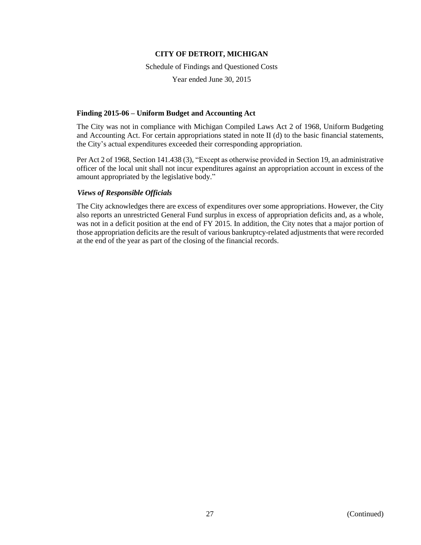Schedule of Findings and Questioned Costs

Year ended June 30, 2015

### **Finding 2015-06 – Uniform Budget and Accounting Act**

The City was not in compliance with Michigan Compiled Laws Act 2 of 1968, Uniform Budgeting and Accounting Act. For certain appropriations stated in note II (d) to the basic financial statements, the City's actual expenditures exceeded their corresponding appropriation.

Per Act 2 of 1968, Section 141.438 (3), "Except as otherwise provided in Section 19, an administrative officer of the local unit shall not incur expenditures against an appropriation account in excess of the amount appropriated by the legislative body."

### *Views of Responsible Officials*

The City acknowledges there are excess of expenditures over some appropriations. However, the City also reports an unrestricted General Fund surplus in excess of appropriation deficits and, as a whole, was not in a deficit position at the end of FY 2015. In addition, the City notes that a major portion of those appropriation deficits are the result of various bankruptcy-related adjustments that were recorded at the end of the year as part of the closing of the financial records.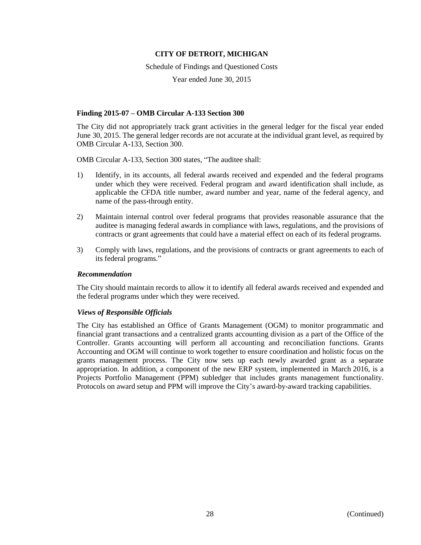Schedule of Findings and Questioned Costs

Year ended June 30, 2015

### **Finding 2015-07 – OMB Circular A-133 Section 300**

The City did not appropriately track grant activities in the general ledger for the fiscal year ended June 30, 2015. The general ledger records are not accurate at the individual grant level, as required by OMB Circular A-133, Section 300.

OMB Circular A-133, Section 300 states, "The auditee shall:

- 1) Identify, in its accounts, all federal awards received and expended and the federal programs under which they were received. Federal program and award identification shall include, as applicable the CFDA title number, award number and year, name of the federal agency, and name of the pass-through entity.
- 2) Maintain internal control over federal programs that provides reasonable assurance that the auditee is managing federal awards in compliance with laws, regulations, and the provisions of contracts or grant agreements that could have a material effect on each of its federal programs.
- 3) Comply with laws, regulations, and the provisions of contracts or grant agreements to each of its federal programs."

#### *Recommendation*

The City should maintain records to allow it to identify all federal awards received and expended and the federal programs under which they were received.

### *Views of Responsible Officials*

The City has established an Office of Grants Management (OGM) to monitor programmatic and financial grant transactions and a centralized grants accounting division as a part of the Office of the Controller. Grants accounting will perform all accounting and reconciliation functions. Grants Accounting and OGM will continue to work together to ensure coordination and holistic focus on the grants management process. The City now sets up each newly awarded grant as a separate appropriation. In addition, a component of the new ERP system, implemented in March 2016, is a Projects Portfolio Management (PPM) subledger that includes grants management functionality. Protocols on award setup and PPM will improve the City's award-by-award tracking capabilities.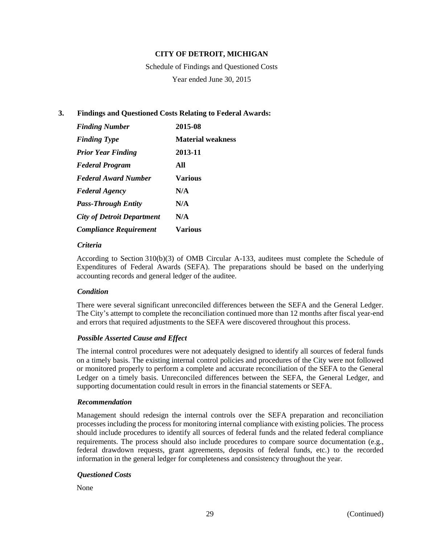Schedule of Findings and Questioned Costs Year ended June 30, 2015

### **3. Findings and Questioned Costs Relating to Federal Awards:**

| <b>Finding Number</b>             | 2015-08                  |
|-----------------------------------|--------------------------|
| <b>Finding Type</b>               | <b>Material weakness</b> |
| <b>Prior Year Finding</b>         | 2013-11                  |
| <b>Federal Program</b>            | All                      |
| <b>Federal Award Number</b>       | Various                  |
| <b>Federal Agency</b>             | N/A                      |
| <b>Pass-Through Entity</b>        | N/A                      |
| <b>City of Detroit Department</b> | N/A                      |
| <b>Compliance Requirement</b>     | Various                  |

### *Criteria*

According to Section 310(b)(3) of OMB Circular A-133, auditees must complete the Schedule of Expenditures of Federal Awards (SEFA). The preparations should be based on the underlying accounting records and general ledger of the auditee.

### *Condition*

There were several significant unreconciled differences between the SEFA and the General Ledger. The City's attempt to complete the reconciliation continued more than 12 months after fiscal year-end and errors that required adjustments to the SEFA were discovered throughout this process.

### *Possible Asserted Cause and Effect*

The internal control procedures were not adequately designed to identify all sources of federal funds on a timely basis. The existing internal control policies and procedures of the City were not followed or monitored properly to perform a complete and accurate reconciliation of the SEFA to the General Ledger on a timely basis. Unreconciled differences between the SEFA, the General Ledger, and supporting documentation could result in errors in the financial statements or SEFA.

### *Recommendation*

Management should redesign the internal controls over the SEFA preparation and reconciliation processes including the process for monitoring internal compliance with existing policies. The process should include procedures to identify all sources of federal funds and the related federal compliance requirements. The process should also include procedures to compare source documentation (e.g., federal drawdown requests, grant agreements, deposits of federal funds, etc.) to the recorded information in the general ledger for completeness and consistency throughout the year.

### *Questioned Costs*

None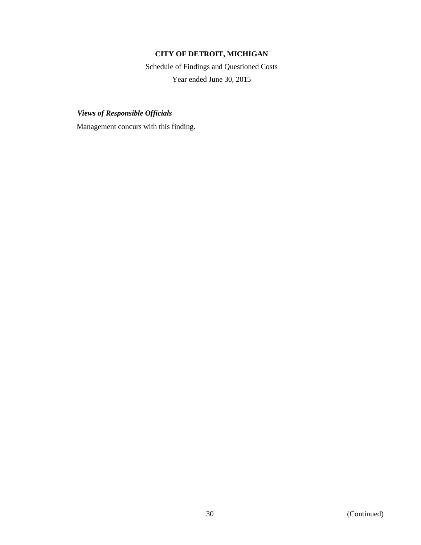Schedule of Findings and Questioned Costs Year ended June 30, 2015

*Views of Responsible Officials*

Management concurs with this finding.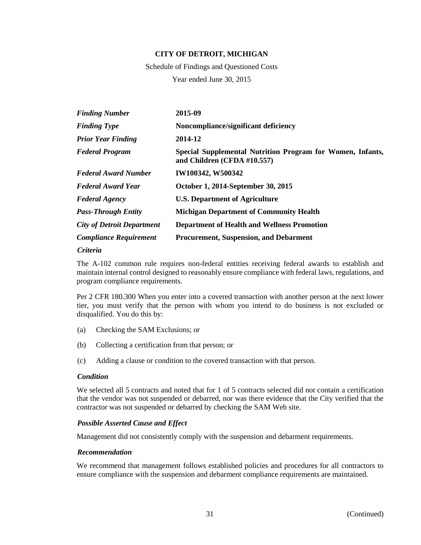Schedule of Findings and Questioned Costs Year ended June 30, 2015

| <b>Finding Number</b>             | 2015-09                                                                                   |
|-----------------------------------|-------------------------------------------------------------------------------------------|
| <b>Finding Type</b>               | Noncompliance/significant deficiency                                                      |
| <b>Prior Year Finding</b>         | 2014-12                                                                                   |
| <b>Federal Program</b>            | Special Supplemental Nutrition Program for Women, Infants,<br>and Children (CFDA #10.557) |
| <b>Federal Award Number</b>       | IW100342, W500342                                                                         |
| <b>Federal Award Year</b>         | October 1, 2014-September 30, 2015                                                        |
| <b>Federal Agency</b>             | <b>U.S. Department of Agriculture</b>                                                     |
| <b>Pass-Through Entity</b>        | <b>Michigan Department of Community Health</b>                                            |
| <b>City of Detroit Department</b> | <b>Department of Health and Wellness Promotion</b>                                        |
| <b>Compliance Requirement</b>     | <b>Procurement, Suspension, and Debarment</b>                                             |

### *Criteria*

The A-102 common rule requires non-federal entities receiving federal awards to establish and maintain internal control designed to reasonably ensure compliance with federal laws, regulations, and program compliance requirements.

Per 2 CFR 180.300 When you enter into a covered transaction with another person at the next lower tier, you must verify that the person with whom you intend to do business is not excluded or disqualified. You do this by:

- (a) Checking the SAM Exclusions; or
- (b) Collecting a certification from that person; or
- (c) Adding a clause or condition to the covered transaction with that person.

#### *Condition*

We selected all 5 contracts and noted that for 1 of 5 contracts selected did not contain a certification that the vendor was not suspended or debarred, nor was there evidence that the City verified that the contractor was not suspended or debarred by checking the SAM Web site.

### *Possible Asserted Cause and Effect*

Management did not consistently comply with the suspension and debarment requirements.

#### *Recommendation*

We recommend that management follows established policies and procedures for all contractors to ensure compliance with the suspension and debarment compliance requirements are maintained.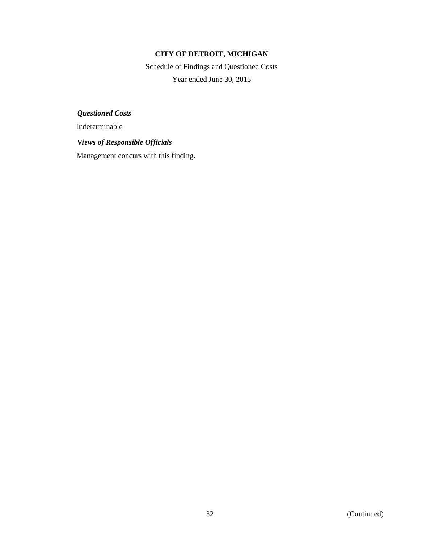Schedule of Findings and Questioned Costs Year ended June 30, 2015

*Questioned Costs*

Indeterminable

### *Views of Responsible Officials*

Management concurs with this finding.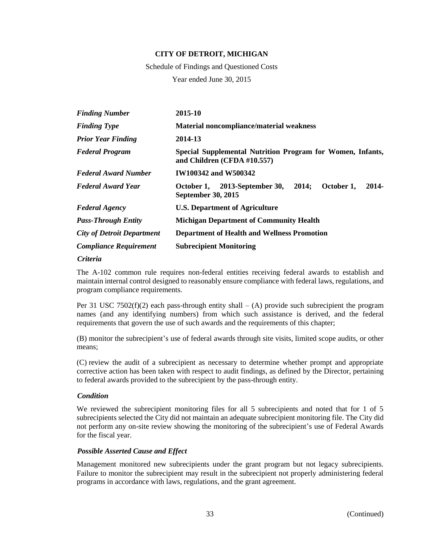Schedule of Findings and Questioned Costs

Year ended June 30, 2015

| <b>Finding Number</b>             | 2015-10                                                                                       |
|-----------------------------------|-----------------------------------------------------------------------------------------------|
| <b>Finding Type</b>               | Material noncompliance/material weakness                                                      |
| <b>Prior Year Finding</b>         | 2014-13                                                                                       |
| <b>Federal Program</b>            | Special Supplemental Nutrition Program for Women, Infants,<br>and Children (CFDA #10.557)     |
| <b>Federal Award Number</b>       | <b>IW100342 and W500342</b>                                                                   |
| <b>Federal Award Year</b>         | 2013-September 30,<br>2014;<br>October 1,<br>2014-<br>October 1,<br><b>September 30, 2015</b> |
| <b>Federal Agency</b>             | <b>U.S. Department of Agriculture</b>                                                         |
| <b>Pass-Through Entity</b>        | <b>Michigan Department of Community Health</b>                                                |
| <b>City of Detroit Department</b> | <b>Department of Health and Wellness Promotion</b>                                            |
| <b>Compliance Requirement</b>     | <b>Subrecipient Monitoring</b>                                                                |

*Criteria*

The A-102 common rule requires non-federal entities receiving federal awards to establish and maintain internal control designed to reasonably ensure compliance with federal laws, regulations, and program compliance requirements.

Per 31 USC 7502(f)(2) each pass-through entity shall – (A) provide such subrecipient the program names (and any identifying numbers) from which such assistance is derived, and the federal requirements that govern the use of such awards and the requirements of this chapter;

(B) monitor the subrecipient's use of federal awards through site visits, limited scope audits, or other means;

(C) review the audit of a subrecipient as necessary to determine whether prompt and appropriate corrective action has been taken with respect to audit findings, as defined by the Director, pertaining to federal awards provided to the subrecipient by the pass-through entity.

#### *Condition*

We reviewed the subrecipient monitoring files for all 5 subrecipients and noted that for 1 of 5 subrecipients selected the City did not maintain an adequate subrecipient monitoring file. The City did not perform any on-site review showing the monitoring of the subrecipient's use of Federal Awards for the fiscal year.

#### *Possible Asserted Cause and Effect*

Management monitored new subrecipients under the grant program but not legacy subrecipients. Failure to monitor the subrecipient may result in the subrecipient not properly administering federal programs in accordance with laws, regulations, and the grant agreement.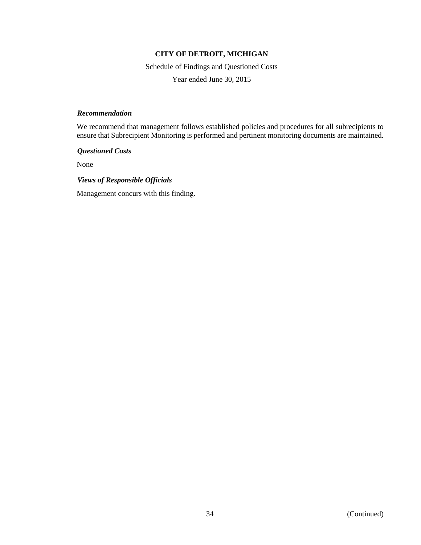Schedule of Findings and Questioned Costs

Year ended June 30, 2015

### *Recommendation*

We recommend that management follows established policies and procedures for all subrecipients to ensure that Subrecipient Monitoring is performed and pertinent monitoring documents are maintained.

*Questioned Costs*

None

### *Views of Responsible Officials*

Management concurs with this finding.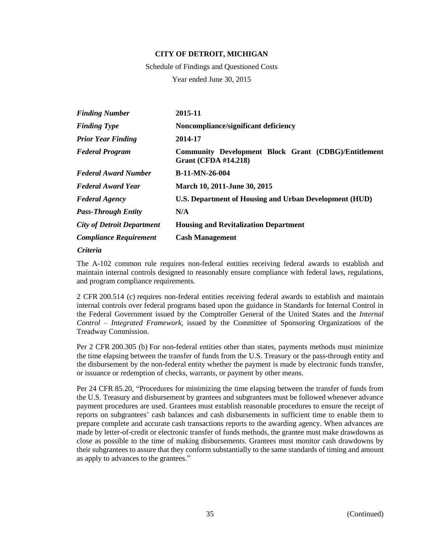Schedule of Findings and Questioned Costs Year ended June 30, 2015

| <b>Finding Number</b>             | 2015-11                                                                             |
|-----------------------------------|-------------------------------------------------------------------------------------|
| <b>Finding Type</b>               | Noncompliance/significant deficiency                                                |
| <b>Prior Year Finding</b>         | 2014-17                                                                             |
| <b>Federal Program</b>            | Community Development Block Grant (CDBG)/Entitlement<br><b>Grant (CFDA #14.218)</b> |
| <b>Federal Award Number</b>       | $B-11-MN-26-004$                                                                    |
| <b>Federal Award Year</b>         | March 10, 2011-June 30, 2015                                                        |
| <b>Federal Agency</b>             | U.S. Department of Housing and Urban Development (HUD)                              |
| <b>Pass-Through Entity</b>        | N/A                                                                                 |
| <b>City of Detroit Department</b> | <b>Housing and Revitalization Department</b>                                        |
| <b>Compliance Requirement</b>     | <b>Cash Management</b>                                                              |
|                                   |                                                                                     |

#### *Criteria*

The A-102 common rule requires non-federal entities receiving federal awards to establish and maintain internal controls designed to reasonably ensure compliance with federal laws, regulations, and program compliance requirements.

2 CFR 200.514 (c) requires non-federal entities receiving federal awards to establish and maintain internal controls over federal programs based upon the guidance in Standards for Internal Control in the Federal Government issued by the Comptroller General of the United States and the *Internal Control – Integrated Framework*, issued by the Committee of Sponsoring Organizations of the Treadway Commission.

Per 2 CFR 200.305 (b) For non-federal entities other than states, payments methods must minimize the time elapsing between the transfer of funds from the U.S. Treasury or the pass-through entity and the disbursement by the non-federal entity whether the payment is made by electronic funds transfer, or issuance or redemption of checks, warrants, or payment by other means.

Per 24 CFR 85.20, "Procedures for minimizing the time elapsing between the transfer of funds from the U.S. Treasury and disbursement by grantees and subgrantees must be followed whenever advance payment procedures are used. Grantees must establish reasonable procedures to ensure the receipt of reports on subgrantees' cash balances and cash disbursements in sufficient time to enable them to prepare complete and accurate cash transactions reports to the awarding agency. When advances are made by letter-of-credit or electronic transfer of funds methods, the grantee must make drawdowns as close as possible to the time of making disbursements. Grantees must monitor cash drawdowns by their subgrantees to assure that they conform substantially to the same standards of timing and amount as apply to advances to the grantees."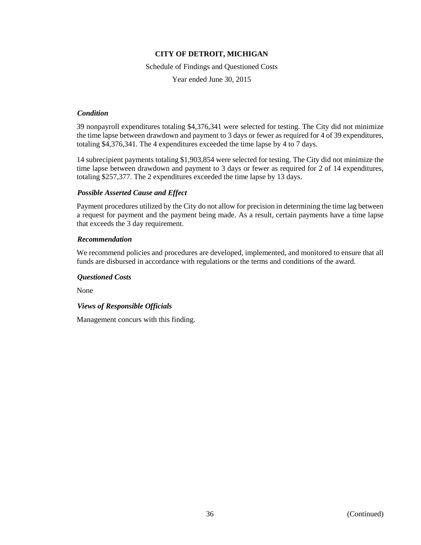Schedule of Findings and Questioned Costs

Year ended June 30, 2015

### *Condition*

39 nonpayroll expenditures totaling \$4,376,341 were selected for testing. The City did not minimize the time lapse between drawdown and payment to 3 days or fewer as required for 4 of 39 expenditures, totaling \$4,376,341. The 4 expenditures exceeded the time lapse by 4 to 7 days.

14 subrecipient payments totaling \$1,903,854 were selected for testing. The City did not minimize the time lapse between drawdown and payment to 3 days or fewer as required for 2 of 14 expenditures, totaling \$257,377. The 2 expenditures exceeded the time lapse by 13 days.

## *Possible Asserted Cause and Effect*

Payment procedures utilized by the City do not allow for precision in determining the time lag between a request for payment and the payment being made. As a result, certain payments have a time lapse that exceeds the 3 day requirement.

## *Recommendation*

We recommend policies and procedures are developed, implemented, and monitored to ensure that all funds are disbursed in accordance with regulations or the terms and conditions of the award.

## *Questioned Costs*

None

## *Views of Responsible Officials*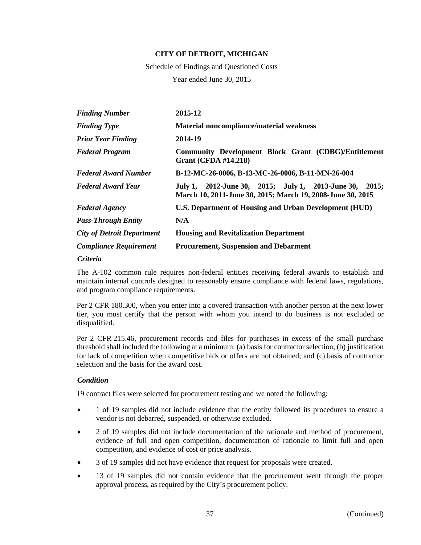Schedule of Findings and Questioned Costs

Year ended June 30, 2015

| <b>Finding Number</b>             | 2015-12                                                                                                               |
|-----------------------------------|-----------------------------------------------------------------------------------------------------------------------|
| <b>Finding Type</b>               | Material noncompliance/material weakness                                                                              |
| <b>Prior Year Finding</b>         | 2014-19                                                                                                               |
| <b>Federal Program</b>            | Community Development Block Grant (CDBG)/Entitlement<br><b>Grant (CFDA #14.218)</b>                                   |
| <b>Federal Award Number</b>       | B-12-MC-26-0006, B-13-MC-26-0006, B-11-MN-26-004                                                                      |
| <b>Federal Award Year</b>         | July 1, 2012-June 30, 2015; July 1, 2013-June 30, 2015;<br>March 10, 2011-June 30, 2015; March 19, 2008-June 30, 2015 |
| <b>Federal Agency</b>             | U.S. Department of Housing and Urban Development (HUD)                                                                |
| <b>Pass-Through Entity</b>        | N/A                                                                                                                   |
| <b>City of Detroit Department</b> | <b>Housing and Revitalization Department</b>                                                                          |
| <b>Compliance Requirement</b>     | <b>Procurement, Suspension and Debarment</b>                                                                          |
|                                   |                                                                                                                       |

### *Criteria*

The A-102 common rule requires non-federal entities receiving federal awards to establish and maintain internal controls designed to reasonably ensure compliance with federal laws, regulations, and program compliance requirements.

Per 2 CFR 180.300, when you enter into a covered transaction with another person at the next lower tier, you must certify that the person with whom you intend to do business is not excluded or disqualified.

Per 2 CFR 215.46, procurement records and files for purchases in excess of the small purchase threshold shall included the following at a minimum: (a) basis for contractor selection; (b) justification for lack of competition when competitive bids or offers are not obtained; and (c) basis of contractor selection and the basis for the award cost.

## *Condition*

19 contract files were selected for procurement testing and we noted the following:

- 1 of 19 samples did not include evidence that the entity followed its procedures to ensure a vendor is not debarred, suspended, or otherwise excluded.
- 2 of 19 samples did not include documentation of the rationale and method of procurement, evidence of full and open competition, documentation of rationale to limit full and open competition, and evidence of cost or price analysis.
- 3 of 19 samples did not have evidence that request for proposals were created.
- 13 of 19 samples did not contain evidence that the procurement went through the proper approval process, as required by the City's procurement policy.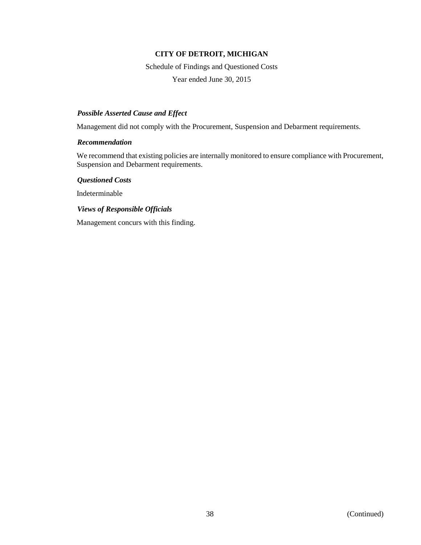Schedule of Findings and Questioned Costs

Year ended June 30, 2015

### *Possible Asserted Cause and Effect*

Management did not comply with the Procurement, Suspension and Debarment requirements.

### *Recommendation*

We recommend that existing policies are internally monitored to ensure compliance with Procurement, Suspension and Debarment requirements.

*Questioned Costs*

Indeterminable

*Views of Responsible Officials*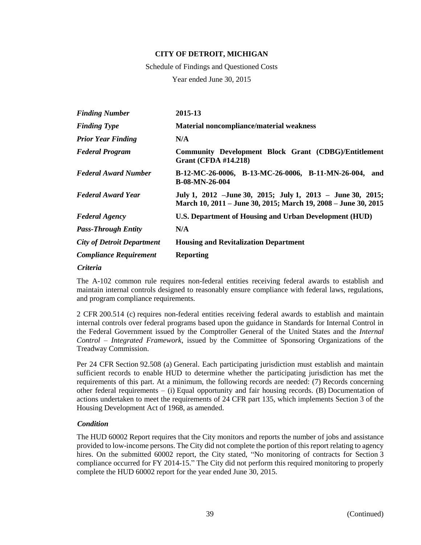Schedule of Findings and Questioned Costs

Year ended June 30, 2015

| <b>Finding Number</b>             | 2015-13                                                                                                                       |
|-----------------------------------|-------------------------------------------------------------------------------------------------------------------------------|
| <b>Finding Type</b>               | <b>Material noncompliance/material weakness</b>                                                                               |
| <b>Prior Year Finding</b>         | N/A                                                                                                                           |
| <b>Federal Program</b>            | Community Development Block Grant (CDBG)/Entitlement<br><b>Grant (CFDA #14.218)</b>                                           |
| <b>Federal Award Number</b>       | B-12-MC-26-0006, B-13-MC-26-0006, B-11-MN-26-004, and<br><b>B-08-MN-26-004</b>                                                |
| <b>Federal Award Year</b>         | July 1, 2012 - June 30, 2015; July 1, 2013 - June 30, 2015;<br>March 10, 2011 – June 30, 2015; March 19, 2008 – June 30, 2015 |
| <b>Federal Agency</b>             | U.S. Department of Housing and Urban Development (HUD)                                                                        |
| <b>Pass-Through Entity</b>        | N/A                                                                                                                           |
| <b>City of Detroit Department</b> | <b>Housing and Revitalization Department</b>                                                                                  |
| <b>Compliance Requirement</b>     | <b>Reporting</b>                                                                                                              |

*Criteria*

The A-102 common rule requires non-federal entities receiving federal awards to establish and maintain internal controls designed to reasonably ensure compliance with federal laws, regulations, and program compliance requirements.

2 CFR 200.514 (c) requires non-federal entities receiving federal awards to establish and maintain internal controls over federal programs based upon the guidance in Standards for Internal Control in the Federal Government issued by the Comptroller General of the United States and the *Internal Control – Integrated Framework*, issued by the Committee of Sponsoring Organizations of the Treadway Commission.

Per 24 CFR Section 92.508 (a) General. Each participating jurisdiction must establish and maintain sufficient records to enable HUD to determine whether the participating jurisdiction has met the requirements of this part. At a minimum, the following records are needed: (7) Records concerning other federal requirements  $-$  (i) Equal opportunity and fair housing records. (B) Documentation of actions undertaken to meet the requirements of 24 CFR part 135, which implements Section 3 of the Housing Development Act of 1968, as amended.

## *Condition*

The HUD 60002 Report requires that the City monitors and reports the number of jobs and assistance provided to low-income persons. The City did not complete the portion of this report relating to agency hires. On the submitted 60002 report, the City stated, "No monitoring of contracts for Section 3 compliance occurred for FY 2014-15." The City did not perform this required monitoring to properly complete the HUD 60002 report for the year ended June 30, 2015.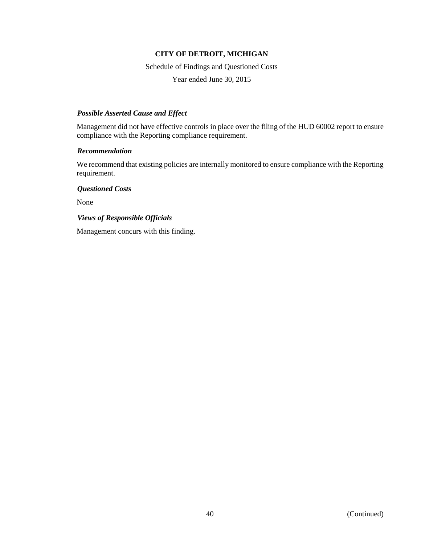Schedule of Findings and Questioned Costs

Year ended June 30, 2015

### *Possible Asserted Cause and Effect*

Management did not have effective controls in place over the filing of the HUD 60002 report to ensure compliance with the Reporting compliance requirement.

### *Recommendation*

We recommend that existing policies are internally monitored to ensure compliance with the Reporting requirement.

*Questioned Costs*

None

## *Views of Responsible Officials*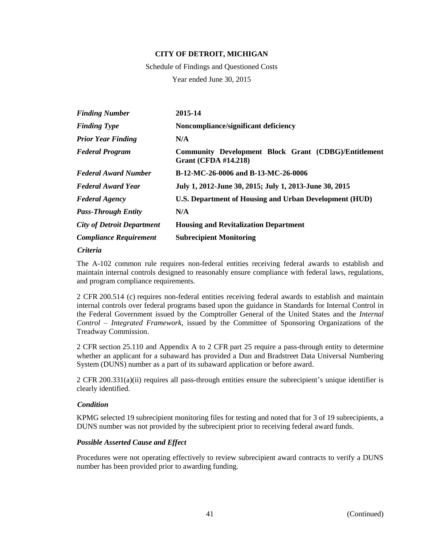Schedule of Findings and Questioned Costs Year ended June 30, 2015

| 2015-14                                                                             |
|-------------------------------------------------------------------------------------|
| Noncompliance/significant deficiency                                                |
| N/A                                                                                 |
| Community Development Block Grant (CDBG)/Entitlement<br><b>Grant (CFDA #14.218)</b> |
| B-12-MC-26-0006 and B-13-MC-26-0006                                                 |
| July 1, 2012-June 30, 2015; July 1, 2013-June 30, 2015                              |
| U.S. Department of Housing and Urban Development (HUD)                              |
| N/A                                                                                 |
| <b>Housing and Revitalization Department</b>                                        |
| <b>Subrecipient Monitoring</b>                                                      |
|                                                                                     |

#### *Criteria*

The A-102 common rule requires non-federal entities receiving federal awards to establish and maintain internal controls designed to reasonably ensure compliance with federal laws, regulations, and program compliance requirements.

2 CFR 200.514 (c) requires non-federal entities receiving federal awards to establish and maintain internal controls over federal programs based upon the guidance in Standards for Internal Control in the Federal Government issued by the Comptroller General of the United States and the *Internal Control – Integrated Framework*, issued by the Committee of Sponsoring Organizations of the Treadway Commission.

2 CFR section 25.110 and Appendix A to 2 CFR part 25 require a pass-through entity to determine whether an applicant for a subaward has provided a Dun and Bradstreet Data Universal Numbering System (DUNS) number as a part of its subaward application or before award.

2 CFR 200.331(a)(ii) requires all pass-through entities ensure the subrecipient's unique identifier is clearly identified.

### *Condition*

KPMG selected 19 subrecipient monitoring files for testing and noted that for 3 of 19 subrecipients, a DUNS number was not provided by the subrecipient prior to receiving federal award funds.

## *Possible Asserted Cause and Effect*

Procedures were not operating effectively to review subrecipient award contracts to verify a DUNS number has been provided prior to awarding funding.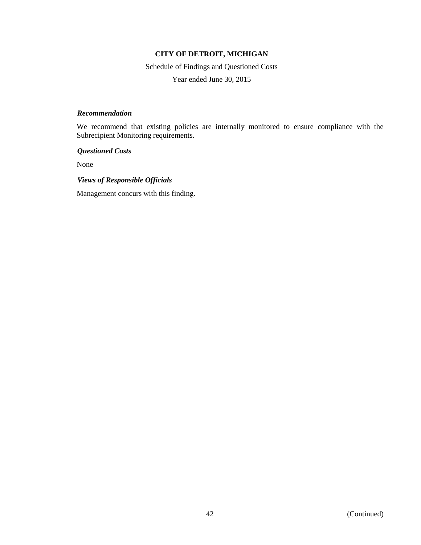Schedule of Findings and Questioned Costs

Year ended June 30, 2015

### *Recommendation*

We recommend that existing policies are internally monitored to ensure compliance with the Subrecipient Monitoring requirements.

*Questioned Costs*

None

### *Views of Responsible Officials*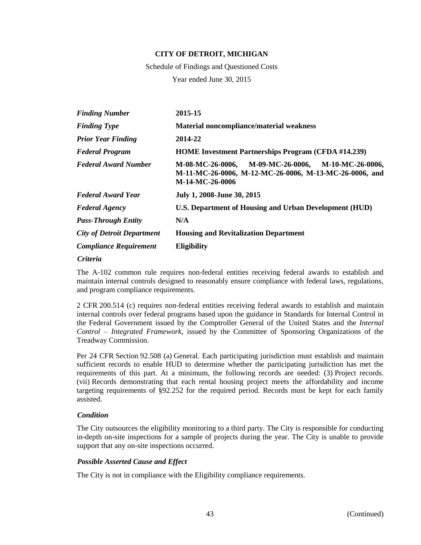Schedule of Findings and Questioned Costs Year ended June 30, 2015

| <b>Finding Number</b>             | 2015-15                                                                                                                            |
|-----------------------------------|------------------------------------------------------------------------------------------------------------------------------------|
| <b>Finding Type</b>               | <b>Material noncompliance/material weakness</b>                                                                                    |
| <b>Prior Year Finding</b>         | 2014-22                                                                                                                            |
| <b>Federal Program</b>            | <b>HOME Investment Partnerships Program (CFDA #14.239)</b>                                                                         |
| <b>Federal Award Number</b>       | M-08-MC-26-0006, M-09-MC-26-0006,<br>M-10-MC-26-0006,<br>M-11-MC-26-0006, M-12-MC-26-0006, M-13-MC-26-0006, and<br>M-14-MC-26-0006 |
| <b>Federal Award Year</b>         | July 1, 2008-June 30, 2015                                                                                                         |
| <b>Federal Agency</b>             | U.S. Department of Housing and Urban Development (HUD)                                                                             |
| <b>Pass-Through Entity</b>        | N/A                                                                                                                                |
| <b>City of Detroit Department</b> | <b>Housing and Revitalization Department</b>                                                                                       |
| <b>Compliance Requirement</b>     | <b>Eligibility</b>                                                                                                                 |

#### *Criteria*

The A-102 common rule requires non-federal entities receiving federal awards to establish and maintain internal controls designed to reasonably ensure compliance with federal laws, regulations, and program compliance requirements.

2 CFR 200.514 (c) requires non-federal entities receiving federal awards to establish and maintain internal controls over federal programs based upon the guidance in Standards for Internal Control in the Federal Government issued by the Comptroller General of the United States and the *Internal Control – Integrated Framework*, issued by the Committee of Sponsoring Organizations of the Treadway Commission.

Per 24 CFR Section 92.508 (a) General. Each participating jurisdiction must establish and maintain sufficient records to enable HUD to determine whether the participating jurisdiction has met the requirements of this part. At a minimum, the following records are needed: (3) Project records. (vii) Records demonstrating that each rental housing project meets the affordability and income targeting requirements of §92.252 for the required period. Records must be kept for each family assisted.

## *Condition*

The City outsources the eligibility monitoring to a third party. The City is responsible for conducting in-depth on-site inspections for a sample of projects during the year. The City is unable to provide support that any on-site inspections occurred.

## *Possible Asserted Cause and Effect*

The City is not in compliance with the Eligibility compliance requirements.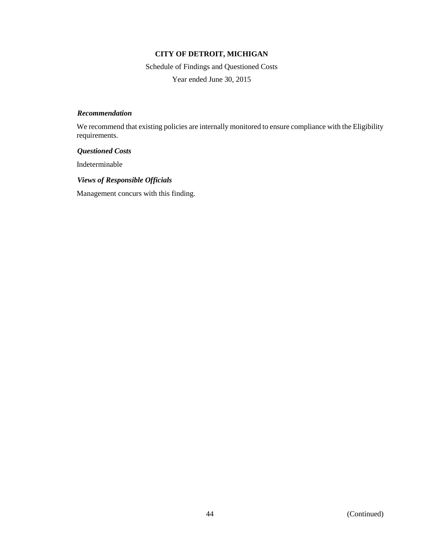Schedule of Findings and Questioned Costs Year ended June 30, 2015

### *Recommendation*

We recommend that existing policies are internally monitored to ensure compliance with the Eligibility requirements.

### *Questioned Costs*

Indeterminable

## *Views of Responsible Officials*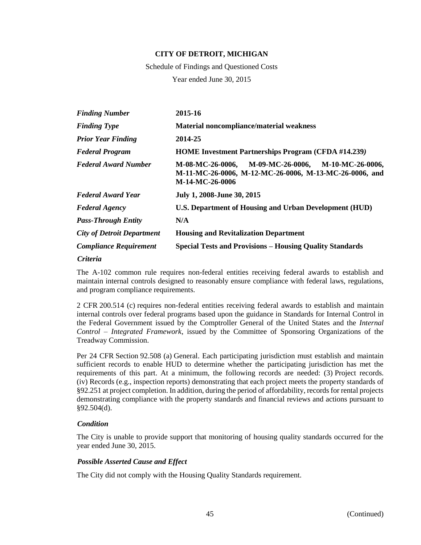Schedule of Findings and Questioned Costs Year ended June 30, 2015

| <b>Finding Number</b>             | 2015-16                                                                                                                               |
|-----------------------------------|---------------------------------------------------------------------------------------------------------------------------------------|
| <b>Finding Type</b>               | <b>Material noncompliance/material weakness</b>                                                                                       |
| <b>Prior Year Finding</b>         | 2014-25                                                                                                                               |
| <b>Federal Program</b>            | <b>HOME Investment Partnerships Program (CFDA #14.239)</b>                                                                            |
| <b>Federal Award Number</b>       | M-09-MC-26-0006,<br>M-08-MC-26-0006,<br>M-10-MC-26-0006,<br>M-11-MC-26-0006, M-12-MC-26-0006, M-13-MC-26-0006, and<br>M-14-MC-26-0006 |
| <b>Federal Award Year</b>         | July 1, 2008-June 30, 2015                                                                                                            |
| <b>Federal Agency</b>             | <b>U.S. Department of Housing and Urban Development (HUD)</b>                                                                         |
| <b>Pass-Through Entity</b>        | N/A                                                                                                                                   |
| <b>City of Detroit Department</b> | <b>Housing and Revitalization Department</b>                                                                                          |
| <b>Compliance Requirement</b>     | <b>Special Tests and Provisions - Housing Quality Standards</b>                                                                       |
| $\sim\cdot\cdot$ .                |                                                                                                                                       |

### *Criteria*

The A-102 common rule requires non-federal entities receiving federal awards to establish and maintain internal controls designed to reasonably ensure compliance with federal laws, regulations, and program compliance requirements.

2 CFR 200.514 (c) requires non-federal entities receiving federal awards to establish and maintain internal controls over federal programs based upon the guidance in Standards for Internal Control in the Federal Government issued by the Comptroller General of the United States and the *Internal Control – Integrated Framework*, issued by the Committee of Sponsoring Organizations of the Treadway Commission.

Per 24 CFR Section 92.508 (a) General. Each participating jurisdiction must establish and maintain sufficient records to enable HUD to determine whether the participating jurisdiction has met the requirements of this part. At a minimum, the following records are needed: (3) Project records. (iv) Records (e.g., inspection reports) demonstrating that each project meets the property standards of §92.251 at project completion. In addition, during the period of affordability, records for rental projects demonstrating compliance with the property standards and financial reviews and actions pursuant to §92.504(d).

## *Condition*

The City is unable to provide support that monitoring of housing quality standards occurred for the year ended June 30, 2015.

## *Possible Asserted Cause and Effect*

The City did not comply with the Housing Quality Standards requirement.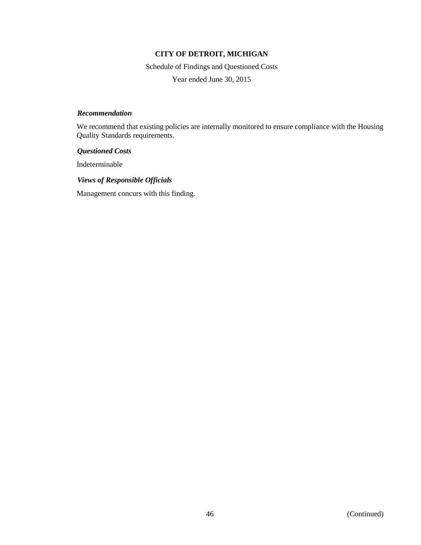Schedule of Findings and Questioned Costs

Year ended June 30, 2015

### *Recommendation*

We recommend that existing policies are internally monitored to ensure compliance with the Housing Quality Standards requirements.

*Questioned Costs*

Indeterminable

## *Views of Responsible Officials*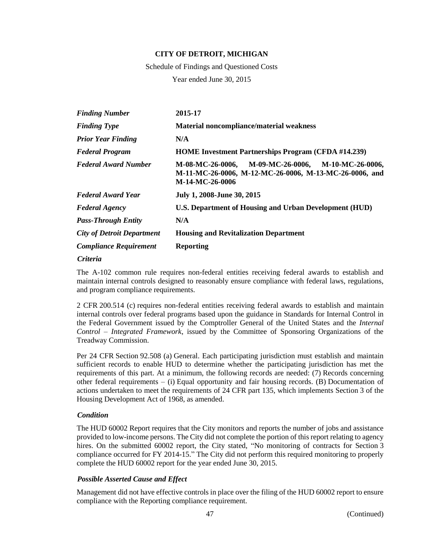Schedule of Findings and Questioned Costs Year ended June 30, 2015

| <b>Finding Number</b>             | 2015-17                                                                                                                               |
|-----------------------------------|---------------------------------------------------------------------------------------------------------------------------------------|
| <b>Finding Type</b>               | <b>Material noncompliance/material weakness</b>                                                                                       |
| <b>Prior Year Finding</b>         | N/A                                                                                                                                   |
| <b>Federal Program</b>            | <b>HOME Investment Partnerships Program (CFDA #14.239)</b>                                                                            |
| <b>Federal Award Number</b>       | M-09-MC-26-0006,<br>M-08-MC-26-0006,<br>M-10-MC-26-0006,<br>M-11-MC-26-0006, M-12-MC-26-0006, M-13-MC-26-0006, and<br>M-14-MC-26-0006 |
| <b>Federal Award Year</b>         | July 1, 2008-June 30, 2015                                                                                                            |
| <b>Federal Agency</b>             | <b>U.S. Department of Housing and Urban Development (HUD)</b>                                                                         |
| <b>Pass-Through Entity</b>        | N/A                                                                                                                                   |
| <b>City of Detroit Department</b> | <b>Housing and Revitalization Department</b>                                                                                          |
| <b>Compliance Requirement</b>     | <b>Reporting</b>                                                                                                                      |

#### *Criteria*

The A-102 common rule requires non-federal entities receiving federal awards to establish and maintain internal controls designed to reasonably ensure compliance with federal laws, regulations, and program compliance requirements.

2 CFR 200.514 (c) requires non-federal entities receiving federal awards to establish and maintain internal controls over federal programs based upon the guidance in Standards for Internal Control in the Federal Government issued by the Comptroller General of the United States and the *Internal Control – Integrated Framework*, issued by the Committee of Sponsoring Organizations of the Treadway Commission.

Per 24 CFR Section 92.508 (a) General. Each participating jurisdiction must establish and maintain sufficient records to enable HUD to determine whether the participating jurisdiction has met the requirements of this part. At a minimum, the following records are needed: (7) Records concerning other federal requirements – (i) Equal opportunity and fair housing records. (B) Documentation of actions undertaken to meet the requirements of 24 CFR part 135, which implements Section 3 of the Housing Development Act of 1968, as amended.

### *Condition*

The HUD 60002 Report requires that the City monitors and reports the number of jobs and assistance provided to low-income persons. The City did not complete the portion of this report relating to agency hires. On the submitted 60002 report, the City stated, "No monitoring of contracts for Section 3 compliance occurred for FY 2014-15." The City did not perform this required monitoring to properly complete the HUD 60002 report for the year ended June 30, 2015.

## *Possible Asserted Cause and Effect*

Management did not have effective controls in place over the filing of the HUD 60002 report to ensure compliance with the Reporting compliance requirement.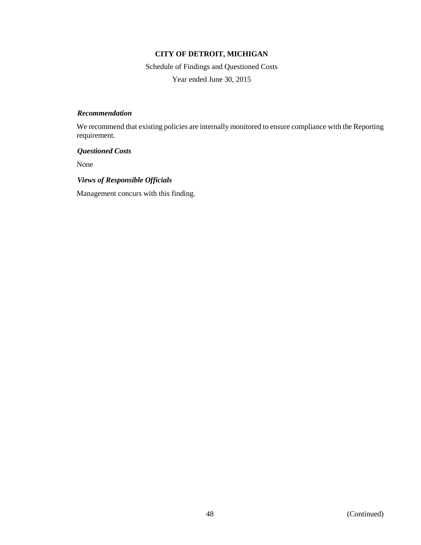Schedule of Findings and Questioned Costs Year ended June 30, 2015

### *Recommendation*

We recommend that existing policies are internally monitored to ensure compliance with the Reporting requirement.

## *Questioned Costs*

None

## *Views of Responsible Officials*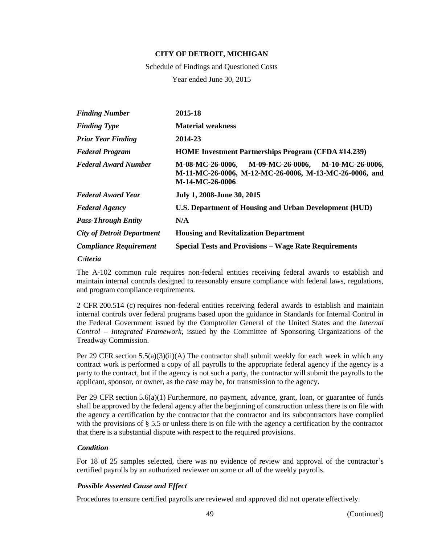Schedule of Findings and Questioned Costs Year ended June 30, 2015

| <b>Finding Number</b>             | 2015-18                                                                                                                            |
|-----------------------------------|------------------------------------------------------------------------------------------------------------------------------------|
| <b>Finding Type</b>               | <b>Material weakness</b>                                                                                                           |
| <b>Prior Year Finding</b>         | 2014-23                                                                                                                            |
| <b>Federal Program</b>            | <b>HOME Investment Partnerships Program (CFDA #14.239)</b>                                                                         |
| <b>Federal Award Number</b>       | M-08-MC-26-0006,<br>M-09-MC-26-0006, M-10-MC-26-0006,<br>M-11-MC-26-0006, M-12-MC-26-0006, M-13-MC-26-0006, and<br>M-14-MC-26-0006 |
| <b>Federal Award Year</b>         | July 1, 2008-June 30, 2015                                                                                                         |
| <b>Federal Agency</b>             | <b>U.S. Department of Housing and Urban Development (HUD)</b>                                                                      |
| <b>Pass-Through Entity</b>        | N/A                                                                                                                                |
| <b>City of Detroit Department</b> | <b>Housing and Revitalization Department</b>                                                                                       |
| <b>Compliance Requirement</b>     | <b>Special Tests and Provisions - Wage Rate Requirements</b>                                                                       |
| <i>Criteria</i>                   |                                                                                                                                    |

The A-102 common rule requires non-federal entities receiving federal awards to establish and maintain internal controls designed to reasonably ensure compliance with federal laws, regulations, and program compliance requirements.

2 CFR 200.514 (c) requires non-federal entities receiving federal awards to establish and maintain internal controls over federal programs based upon the guidance in Standards for Internal Control in the Federal Government issued by the Comptroller General of the United States and the *Internal Control – Integrated Framework*, issued by the Committee of Sponsoring Organizations of the Treadway Commission.

Per 29 CFR section  $5.5(a)(3)(ii)(A)$  The contractor shall submit weekly for each week in which any contract work is performed a copy of all payrolls to the appropriate federal agency if the agency is a party to the contract, but if the agency is not such a party, the contractor will submit the payrolls to the applicant, sponsor, or owner, as the case may be, for transmission to the agency.

Per 29 CFR section 5.6(a)(1) Furthermore, no payment, advance, grant, loan, or guarantee of funds shall be approved by the federal agency after the beginning of construction unless there is on file with the agency a certification by the contractor that the contractor and its subcontractors have complied with the provisions of § 5.5 or unless there is on file with the agency a certification by the contractor that there is a substantial dispute with respect to the required provisions.

## *Condition*

For 18 of 25 samples selected, there was no evidence of review and approval of the contractor's certified payrolls by an authorized reviewer on some or all of the weekly payrolls.

## *Possible Asserted Cause and Effect*

Procedures to ensure certified payrolls are reviewed and approved did not operate effectively.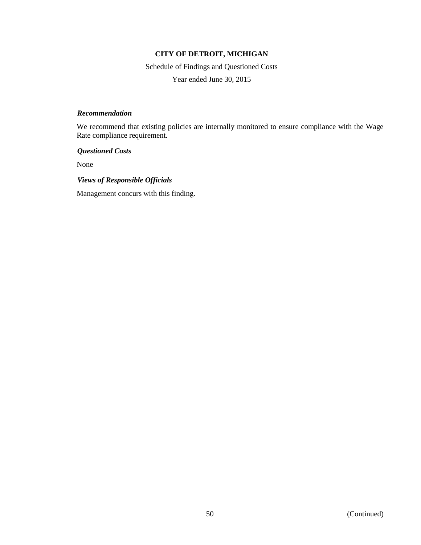Schedule of Findings and Questioned Costs

Year ended June 30, 2015

### *Recommendation*

We recommend that existing policies are internally monitored to ensure compliance with the Wage Rate compliance requirement.

*Questioned Costs*

None

## *Views of Responsible Officials*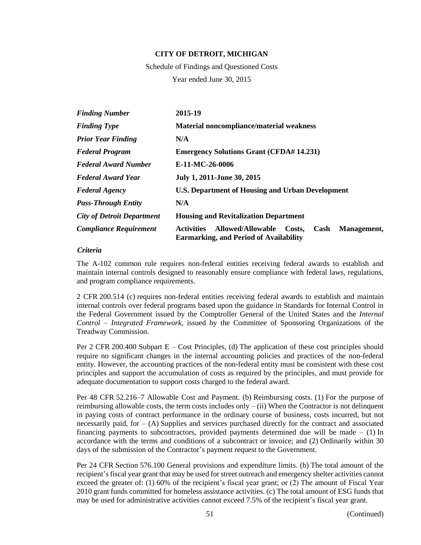Schedule of Findings and Questioned Costs Year ended June 30, 2015

| <b>Finding Number</b>             | 2015-19                                                                                                                         |
|-----------------------------------|---------------------------------------------------------------------------------------------------------------------------------|
| <b>Finding Type</b>               | <b>Material noncompliance/material weakness</b>                                                                                 |
| <b>Prior Year Finding</b>         | N/A                                                                                                                             |
| <b>Federal Program</b>            | <b>Emergency Solutions Grant (CFDA# 14.231)</b>                                                                                 |
| <b>Federal Award Number</b>       | E-11-MC-26-0006                                                                                                                 |
| <b>Federal Award Year</b>         | July 1, 2011-June 30, 2015                                                                                                      |
| <b>Federal Agency</b>             | U.S. Department of Housing and Urban Development                                                                                |
| <b>Pass-Through Entity</b>        | N/A                                                                                                                             |
| <b>City of Detroit Department</b> | <b>Housing and Revitalization Department</b>                                                                                    |
| <b>Compliance Requirement</b>     | <b>Allowed/Allowable</b><br>Management,<br><b>Activities</b><br>Costs,<br>Cash<br><b>Earmarking, and Period of Availability</b> |

### *Criteria*

The A-102 common rule requires non-federal entities receiving federal awards to establish and maintain internal controls designed to reasonably ensure compliance with federal laws, regulations, and program compliance requirements.

2 CFR 200.514 (c) requires non-federal entities receiving federal awards to establish and maintain internal controls over federal programs based upon the guidance in Standards for Internal Control in the Federal Government issued by the Comptroller General of the United States and the *Internal Control – Integrated Framework*, issued by the Committee of Sponsoring Organizations of the Treadway Commission.

Per 2 CFR 200.400 Subpart E – Cost Principles, (d) The application of these cost principles should require no significant changes in the internal accounting policies and practices of the non-federal entity. However, the accounting practices of the non-federal entity must be consistent with these cost principles and support the accumulation of costs as required by the principles, and must provide for adequate documentation to support costs charged to the federal award.

Per 48 CFR 52.216–7 Allowable Cost and Payment. (b) Reimbursing costs. (1) For the purpose of reimbursing allowable costs, the term costs includes only  $-$  (ii) When the Contractor is not delinquent in paying costs of contract performance in the ordinary course of business, costs incurred, but not necessarily paid, for  $-$  (A) Supplies and services purchased directly for the contract and associated financing payments to subcontractors, provided payments determined due will be made  $- (1)$  In accordance with the terms and conditions of a subcontract or invoice; and (2) Ordinarily within 30 days of the submission of the Contractor's payment request to the Government.

Per 24 CFR Section 576.100 General provisions and expenditure limits. (b) The total amount of the recipient's fiscal year grant that may be used for street outreach and emergency shelter activities cannot exceed the greater of: (1) 60% of the recipient's fiscal year grant; or (2) The amount of Fiscal Year 2010 grant funds committed for homeless assistance activities. (c) The total amount of ESG funds that may be used for administrative activities cannot exceed 7.5% of the recipient's fiscal year grant.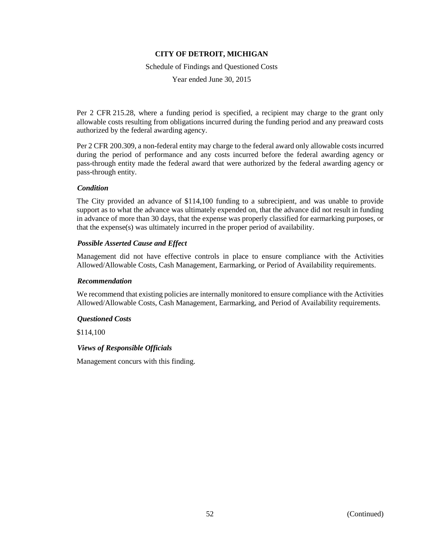Schedule of Findings and Questioned Costs

Year ended June 30, 2015

Per 2 CFR 215.28, where a funding period is specified, a recipient may charge to the grant only allowable costs resulting from obligations incurred during the funding period and any preaward costs authorized by the federal awarding agency.

Per 2 CFR 200.309, a non-federal entity may charge to the federal award only allowable costs incurred during the period of performance and any costs incurred before the federal awarding agency or pass-through entity made the federal award that were authorized by the federal awarding agency or pass-through entity.

## *Condition*

The City provided an advance of \$114,100 funding to a subrecipient, and was unable to provide support as to what the advance was ultimately expended on, that the advance did not result in funding in advance of more than 30 days, that the expense was properly classified for earmarking purposes, or that the expense(s) was ultimately incurred in the proper period of availability.

### *Possible Asserted Cause and Effect*

Management did not have effective controls in place to ensure compliance with the Activities Allowed/Allowable Costs, Cash Management, Earmarking, or Period of Availability requirements.

### *Recommendation*

We recommend that existing policies are internally monitored to ensure compliance with the Activities Allowed/Allowable Costs, Cash Management, Earmarking, and Period of Availability requirements.

## *Questioned Costs*

\$114,100

## *Views of Responsible Officials*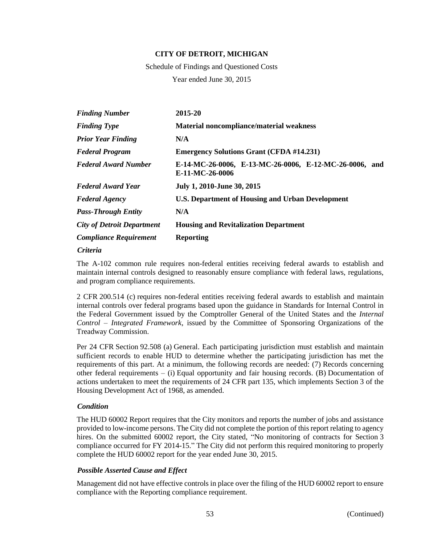Schedule of Findings and Questioned Costs Year ended June 30, 2015

| <b>Finding Number</b>             | 2015-20                                                                   |
|-----------------------------------|---------------------------------------------------------------------------|
| <b>Finding Type</b>               | Material noncompliance/material weakness                                  |
| <b>Prior Year Finding</b>         | N/A                                                                       |
| <b>Federal Program</b>            | <b>Emergency Solutions Grant (CFDA #14.231)</b>                           |
| <b>Federal Award Number</b>       | E-14-MC-26-0006, E-13-MC-26-0006, E-12-MC-26-0006, and<br>E-11-MC-26-0006 |
| <b>Federal Award Year</b>         | July 1, 2010-June 30, 2015                                                |
| <b>Federal Agency</b>             | U.S. Department of Housing and Urban Development                          |
| <b>Pass-Through Entity</b>        | N/A                                                                       |
| <b>City of Detroit Department</b> | <b>Housing and Revitalization Department</b>                              |
| <b>Compliance Requirement</b>     | <b>Reporting</b>                                                          |

#### *Criteria*

The A-102 common rule requires non-federal entities receiving federal awards to establish and maintain internal controls designed to reasonably ensure compliance with federal laws, regulations, and program compliance requirements.

2 CFR 200.514 (c) requires non-federal entities receiving federal awards to establish and maintain internal controls over federal programs based upon the guidance in Standards for Internal Control in the Federal Government issued by the Comptroller General of the United States and the *Internal Control – Integrated Framework*, issued by the Committee of Sponsoring Organizations of the Treadway Commission.

Per 24 CFR Section 92.508 (a) General. Each participating jurisdiction must establish and maintain sufficient records to enable HUD to determine whether the participating jurisdiction has met the requirements of this part. At a minimum, the following records are needed: (7) Records concerning other federal requirements – (i) Equal opportunity and fair housing records. (B) Documentation of actions undertaken to meet the requirements of 24 CFR part 135, which implements Section 3 of the Housing Development Act of 1968, as amended.

## *Condition*

The HUD 60002 Report requires that the City monitors and reports the number of jobs and assistance provided to low-income persons. The City did not complete the portion of this report relating to agency hires. On the submitted 60002 report, the City stated, "No monitoring of contracts for Section 3 compliance occurred for FY 2014-15." The City did not perform this required monitoring to properly complete the HUD 60002 report for the year ended June 30, 2015.

### *Possible Asserted Cause and Effect*

Management did not have effective controls in place over the filing of the HUD 60002 report to ensure compliance with the Reporting compliance requirement.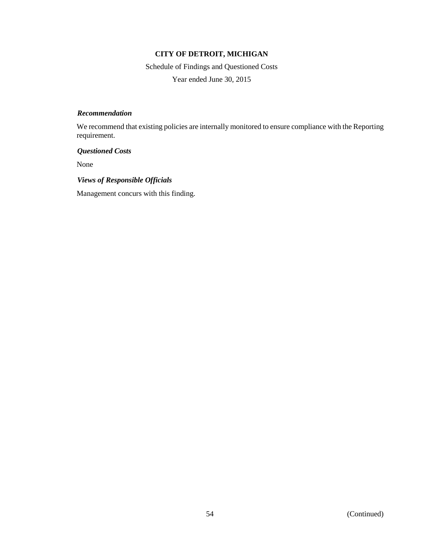Schedule of Findings and Questioned Costs Year ended June 30, 2015

### *Recommendation*

We recommend that existing policies are internally monitored to ensure compliance with the Reporting requirement.

## *Questioned Costs*

None

## *Views of Responsible Officials*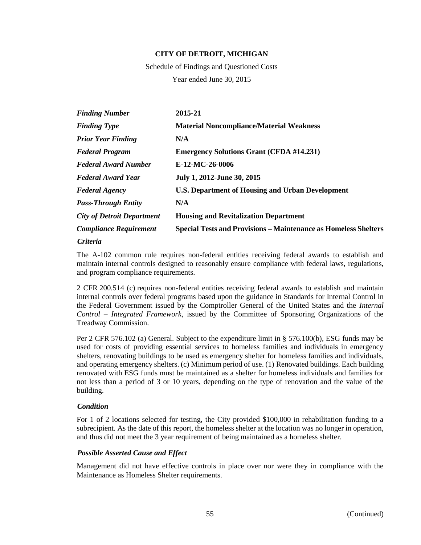Schedule of Findings and Questioned Costs Year ended June 30, 2015

| <b>Finding Number</b>             | 2015-21                                                                |
|-----------------------------------|------------------------------------------------------------------------|
| <b>Finding Type</b>               | <b>Material Noncompliance/Material Weakness</b>                        |
| <b>Prior Year Finding</b>         | N/A                                                                    |
| <b>Federal Program</b>            | <b>Emergency Solutions Grant (CFDA #14.231)</b>                        |
| <b>Federal Award Number</b>       | E-12-MC-26-0006                                                        |
| <b>Federal Award Year</b>         | July 1, 2012-June 30, 2015                                             |
| <b>Federal Agency</b>             | U.S. Department of Housing and Urban Development                       |
| <b>Pass-Through Entity</b>        | N/A                                                                    |
| <b>City of Detroit Department</b> | <b>Housing and Revitalization Department</b>                           |
| <b>Compliance Requirement</b>     | <b>Special Tests and Provisions – Maintenance as Homeless Shelters</b> |
|                                   |                                                                        |

### *Criteria*

The A-102 common rule requires non-federal entities receiving federal awards to establish and maintain internal controls designed to reasonably ensure compliance with federal laws, regulations, and program compliance requirements.

2 CFR 200.514 (c) requires non-federal entities receiving federal awards to establish and maintain internal controls over federal programs based upon the guidance in Standards for Internal Control in the Federal Government issued by the Comptroller General of the United States and the *Internal Control – Integrated Framework*, issued by the Committee of Sponsoring Organizations of the Treadway Commission.

Per 2 CFR 576.102 (a) General. Subject to the expenditure limit in § 576.100(b), ESG funds may be used for costs of providing essential services to homeless families and individuals in emergency shelters, renovating buildings to be used as emergency shelter for homeless families and individuals, and operating emergency shelters. (c) Minimum period of use. (1) Renovated buildings. Each building renovated with ESG funds must be maintained as a shelter for homeless individuals and families for not less than a period of 3 or 10 years, depending on the type of renovation and the value of the building.

## *Condition*

For 1 of 2 locations selected for testing, the City provided \$100,000 in rehabilitation funding to a subrecipient. As the date of this report, the homeless shelter at the location was no longer in operation, and thus did not meet the 3 year requirement of being maintained as a homeless shelter.

## *Possible Asserted Cause and Effect*

Management did not have effective controls in place over nor were they in compliance with the Maintenance as Homeless Shelter requirements.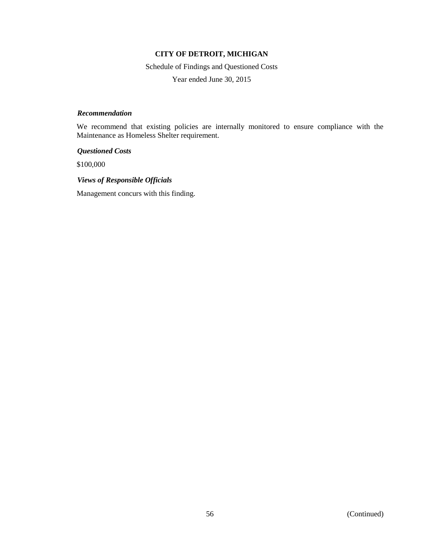Schedule of Findings and Questioned Costs

Year ended June 30, 2015

## *Recommendation*

We recommend that existing policies are internally monitored to ensure compliance with the Maintenance as Homeless Shelter requirement.

*Questioned Costs*

\$100,000

*Views of Responsible Officials*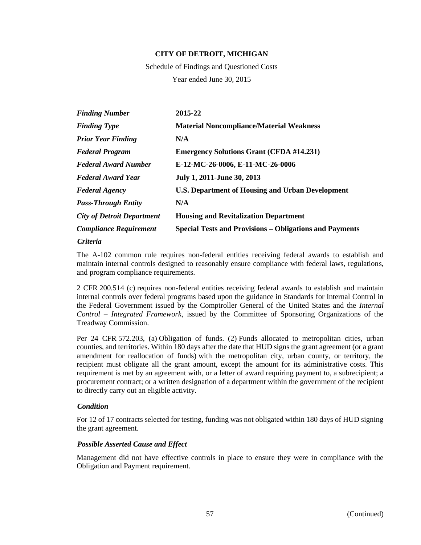Schedule of Findings and Questioned Costs Year ended June 30, 2015

| <b>Finding Number</b>             | 2015-22                                                        |
|-----------------------------------|----------------------------------------------------------------|
| <b>Finding Type</b>               | <b>Material Noncompliance/Material Weakness</b>                |
| <b>Prior Year Finding</b>         | N/A                                                            |
| <b>Federal Program</b>            | <b>Emergency Solutions Grant (CFDA #14.231)</b>                |
| <b>Federal Award Number</b>       | E-12-MC-26-0006, E-11-MC-26-0006                               |
| <b>Federal Award Year</b>         | July 1, 2011-June 30, 2013                                     |
| <b>Federal Agency</b>             | <b>U.S. Department of Housing and Urban Development</b>        |
| <b>Pass-Through Entity</b>        | N/A                                                            |
| <b>City of Detroit Department</b> | <b>Housing and Revitalization Department</b>                   |
| <b>Compliance Requirement</b>     | <b>Special Tests and Provisions – Obligations and Payments</b> |

### *Criteria*

The A-102 common rule requires non-federal entities receiving federal awards to establish and maintain internal controls designed to reasonably ensure compliance with federal laws, regulations, and program compliance requirements.

2 CFR 200.514 (c) requires non-federal entities receiving federal awards to establish and maintain internal controls over federal programs based upon the guidance in Standards for Internal Control in the Federal Government issued by the Comptroller General of the United States and the *Internal Control – Integrated Framework*, issued by the Committee of Sponsoring Organizations of the Treadway Commission.

Per 24 CFR 572.203, (a) Obligation of funds. (2) Funds allocated to metropolitan cities, urban counties, and territories. Within 180 days after the date that HUD signs the grant agreement (or a grant amendment for reallocation of funds) with the metropolitan city, urban county, or territory, the recipient must obligate all the grant amount, except the amount for its administrative costs. This requirement is met by an agreement with, or a letter of award requiring payment to, a subrecipient; a procurement contract; or a written designation of a department within the government of the recipient to directly carry out an eligible activity.

### *Condition*

For 12 of 17 contracts selected for testing, funding was not obligated within 180 days of HUD signing the grant agreement.

## *Possible Asserted Cause and Effect*

Management did not have effective controls in place to ensure they were in compliance with the Obligation and Payment requirement.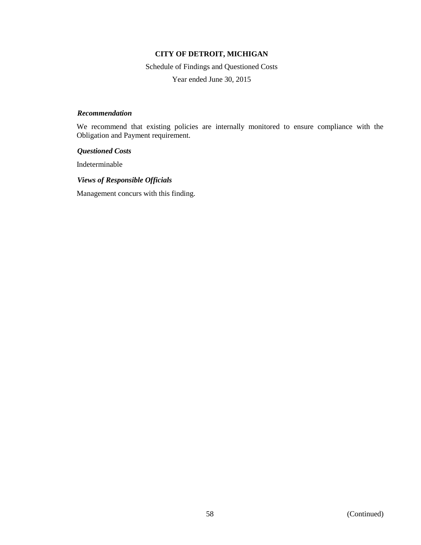Schedule of Findings and Questioned Costs

Year ended June 30, 2015

### *Recommendation*

We recommend that existing policies are internally monitored to ensure compliance with the Obligation and Payment requirement.

### *Questioned Costs*

Indeterminable

### *Views of Responsible Officials*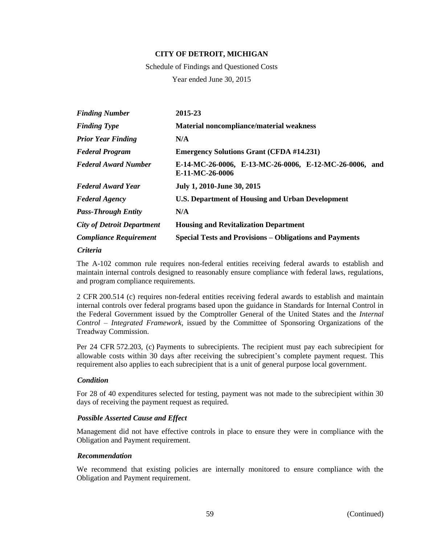Schedule of Findings and Questioned Costs Year ended June 30, 2015

| <b>Finding Number</b>             | 2015-23                                                                   |
|-----------------------------------|---------------------------------------------------------------------------|
| <b>Finding Type</b>               | <b>Material noncompliance/material weakness</b>                           |
| <b>Prior Year Finding</b>         | N/A                                                                       |
| <b>Federal Program</b>            | <b>Emergency Solutions Grant (CFDA #14.231)</b>                           |
| <b>Federal Award Number</b>       | E-14-MC-26-0006, E-13-MC-26-0006, E-12-MC-26-0006, and<br>E-11-MC-26-0006 |
| <b>Federal Award Year</b>         | July 1, 2010-June 30, 2015                                                |
| <b>Federal Agency</b>             | U.S. Department of Housing and Urban Development                          |
| <b>Pass-Through Entity</b>        | N/A                                                                       |
| <b>City of Detroit Department</b> | <b>Housing and Revitalization Department</b>                              |
| <b>Compliance Requirement</b>     | <b>Special Tests and Provisions – Obligations and Payments</b>            |

### *Criteria*

The A-102 common rule requires non-federal entities receiving federal awards to establish and maintain internal controls designed to reasonably ensure compliance with federal laws, regulations, and program compliance requirements.

2 CFR 200.514 (c) requires non-federal entities receiving federal awards to establish and maintain internal controls over federal programs based upon the guidance in Standards for Internal Control in the Federal Government issued by the Comptroller General of the United States and the *Internal Control – Integrated Framework*, issued by the Committee of Sponsoring Organizations of the Treadway Commission.

Per 24 CFR 572.203, (c) Payments to subrecipients. The recipient must pay each subrecipient for allowable costs within 30 days after receiving the subrecipient's complete payment request. This requirement also applies to each subrecipient that is a unit of general purpose local government.

## *Condition*

For 28 of 40 expenditures selected for testing, payment was not made to the subrecipient within 30 days of receiving the payment request as required.

## *Possible Asserted Cause and Effect*

Management did not have effective controls in place to ensure they were in compliance with the Obligation and Payment requirement.

## *Recommendation*

We recommend that existing policies are internally monitored to ensure compliance with the Obligation and Payment requirement.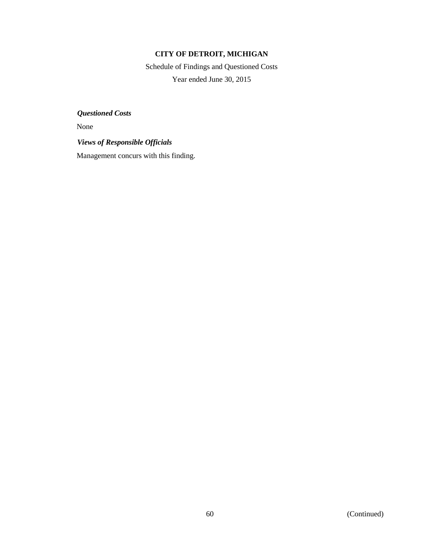Schedule of Findings and Questioned Costs Year ended June 30, 2015

*Questioned Costs*

None

*Views of Responsible Officials*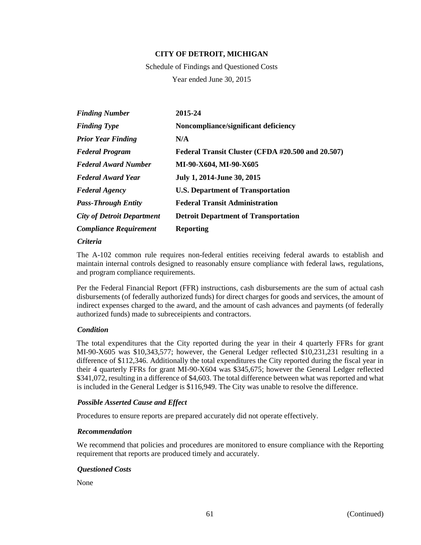Schedule of Findings and Questioned Costs Year ended June 30, 2015

| <b>Finding Number</b>             | 2015-24                                           |
|-----------------------------------|---------------------------------------------------|
| <b>Finding Type</b>               | Noncompliance/significant deficiency              |
| <b>Prior Year Finding</b>         | N/A                                               |
| <b>Federal Program</b>            | Federal Transit Cluster (CFDA #20.500 and 20.507) |
| <b>Federal Award Number</b>       | MI-90-X604, MI-90-X605                            |
| <b>Federal Award Year</b>         | July 1, 2014-June 30, 2015                        |
| <b>Federal Agency</b>             | <b>U.S. Department of Transportation</b>          |
| <b>Pass-Through Entity</b>        | <b>Federal Transit Administration</b>             |
| <b>City of Detroit Department</b> | <b>Detroit Department of Transportation</b>       |
| <b>Compliance Requirement</b>     | <b>Reporting</b>                                  |

### *Criteria*

The A-102 common rule requires non-federal entities receiving federal awards to establish and maintain internal controls designed to reasonably ensure compliance with federal laws, regulations, and program compliance requirements.

Per the Federal Financial Report (FFR) instructions, cash disbursements are the sum of actual cash disbursements (of federally authorized funds) for direct charges for goods and services, the amount of indirect expenses charged to the award, and the amount of cash advances and payments (of federally authorized funds) made to subreceipients and contractors.

## *Condition*

The total expenditures that the City reported during the year in their 4 quarterly FFRs for grant MI-90-X605 was \$10,343,577; however, the General Ledger reflected \$10,231,231 resulting in a difference of \$112,346. Additionally the total expenditures the City reported during the fiscal year in their 4 quarterly FFRs for grant MI-90-X604 was \$345,675; however the General Ledger reflected \$341,072, resulting in a difference of \$4,603. The total difference between what was reported and what is included in the General Ledger is \$116,949. The City was unable to resolve the difference.

## *Possible Asserted Cause and Effect*

Procedures to ensure reports are prepared accurately did not operate effectively.

### *Recommendation*

We recommend that policies and procedures are monitored to ensure compliance with the Reporting requirement that reports are produced timely and accurately.

## *Questioned Costs*

None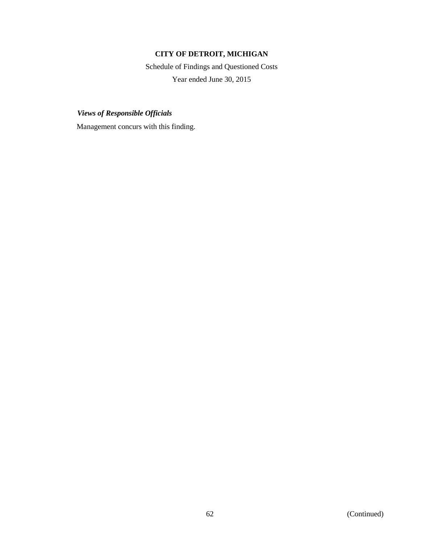Schedule of Findings and Questioned Costs Year ended June 30, 2015

*Views of Responsible Officials*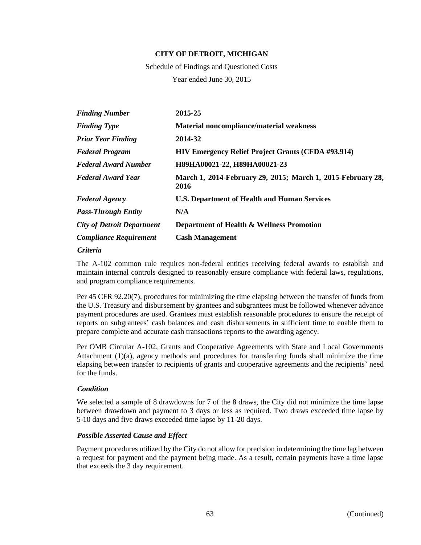Schedule of Findings and Questioned Costs Year ended June 30, 2015

| <b>Finding Number</b>             | 2015-25                                                             |
|-----------------------------------|---------------------------------------------------------------------|
| <b>Finding Type</b>               | <b>Material noncompliance/material weakness</b>                     |
| <b>Prior Year Finding</b>         | 2014-32                                                             |
| <b>Federal Program</b>            | <b>HIV Emergency Relief Project Grants (CFDA #93.914)</b>           |
| <b>Federal Award Number</b>       | H89HA00021-22, H89HA00021-23                                        |
| <b>Federal Award Year</b>         | March 1, 2014-February 29, 2015; March 1, 2015-February 28,<br>2016 |
| <b>Federal Agency</b>             | <b>U.S. Department of Health and Human Services</b>                 |
| <b>Pass-Through Entity</b>        | N/A                                                                 |
| <b>City of Detroit Department</b> | Department of Health & Wellness Promotion                           |
| <b>Compliance Requirement</b>     | <b>Cash Management</b>                                              |

#### *Criteria*

The A-102 common rule requires non-federal entities receiving federal awards to establish and maintain internal controls designed to reasonably ensure compliance with federal laws, regulations, and program compliance requirements.

Per 45 CFR 92.20(7), procedures for minimizing the time elapsing between the transfer of funds from the U.S. Treasury and disbursement by grantees and subgrantees must be followed whenever advance payment procedures are used. Grantees must establish reasonable procedures to ensure the receipt of reports on subgrantees' cash balances and cash disbursements in sufficient time to enable them to prepare complete and accurate cash transactions reports to the awarding agency.

Per OMB Circular A-102, Grants and Cooperative Agreements with State and Local Governments Attachment (1)(a), agency methods and procedures for transferring funds shall minimize the time elapsing between transfer to recipients of grants and cooperative agreements and the recipients' need for the funds.

### *Condition*

We selected a sample of 8 drawdowns for 7 of the 8 draws, the City did not minimize the time lapse between drawdown and payment to 3 days or less as required. Two draws exceeded time lapse by 5-10 days and five draws exceeded time lapse by 11-20 days.

## *Possible Asserted Cause and Effect*

Payment procedures utilized by the City do not allow for precision in determining the time lag between a request for payment and the payment being made. As a result, certain payments have a time lapse that exceeds the 3 day requirement.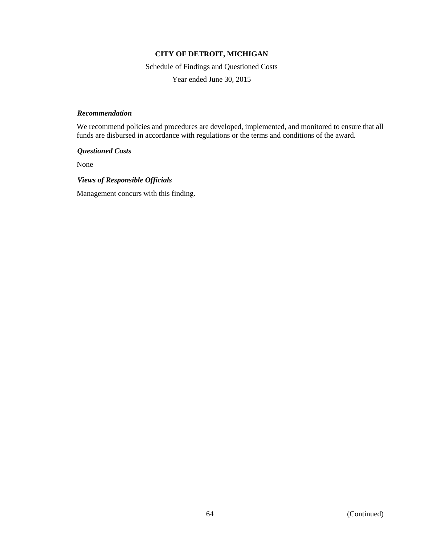Schedule of Findings and Questioned Costs

Year ended June 30, 2015

### *Recommendation*

We recommend policies and procedures are developed, implemented, and monitored to ensure that all funds are disbursed in accordance with regulations or the terms and conditions of the award.

*Questioned Costs*

None

## *Views of Responsible Officials*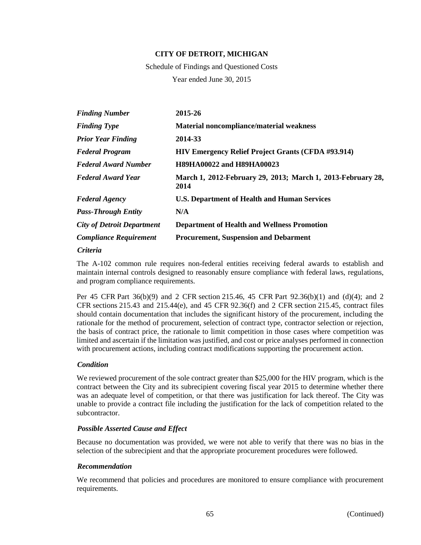Schedule of Findings and Questioned Costs Year ended June 30, 2015

| <b>Finding Number</b>             | 2015-26                                                             |
|-----------------------------------|---------------------------------------------------------------------|
| <b>Finding Type</b>               | Material noncompliance/material weakness                            |
| <b>Prior Year Finding</b>         | 2014-33                                                             |
| <b>Federal Program</b>            | <b>HIV Emergency Relief Project Grants (CFDA #93.914)</b>           |
| <b>Federal Award Number</b>       | <b>H89HA00022 and H89HA00023</b>                                    |
| <b>Federal Award Year</b>         | March 1, 2012-February 29, 2013; March 1, 2013-February 28,<br>2014 |
| <b>Federal Agency</b>             | <b>U.S. Department of Health and Human Services</b>                 |
| <b>Pass-Through Entity</b>        | N/A                                                                 |
| <b>City of Detroit Department</b> | <b>Department of Health and Wellness Promotion</b>                  |
| <b>Compliance Requirement</b>     | <b>Procurement, Suspension and Debarment</b>                        |

### *Criteria*

The A-102 common rule requires non-federal entities receiving federal awards to establish and maintain internal controls designed to reasonably ensure compliance with federal laws, regulations, and program compliance requirements.

Per 45 CFR Part 36(b)(9) and 2 CFR section 215.46, 45 CFR Part 92.36(b)(1) and (d)(4); and 2 CFR sections 215.43 and 215.44 $(e)$ , and 45 CFR 92.36 $(f)$  and 2 CFR section 215.45, contract files should contain documentation that includes the significant history of the procurement, including the rationale for the method of procurement, selection of contract type, contractor selection or rejection, the basis of contract price, the rationale to limit competition in those cases where competition was limited and ascertain if the limitation was justified, and cost or price analyses performed in connection with procurement actions, including contract modifications supporting the procurement action.

## *Condition*

We reviewed procurement of the sole contract greater than \$25,000 for the HIV program, which is the contract between the City and its subrecipient covering fiscal year 2015 to determine whether there was an adequate level of competition, or that there was justification for lack thereof. The City was unable to provide a contract file including the justification for the lack of competition related to the subcontractor.

## *Possible Asserted Cause and Effect*

Because no documentation was provided, we were not able to verify that there was no bias in the selection of the subrecipient and that the appropriate procurement procedures were followed.

## *Recommendation*

We recommend that policies and procedures are monitored to ensure compliance with procurement requirements.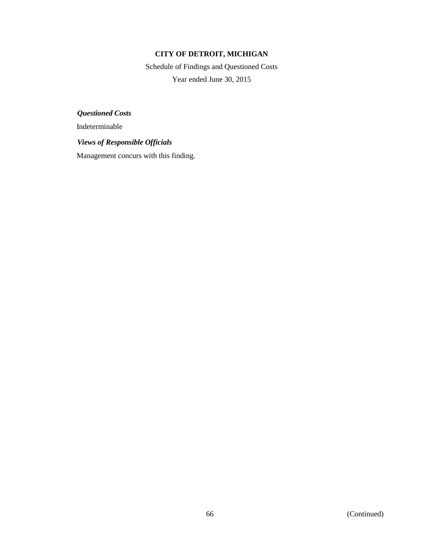Schedule of Findings and Questioned Costs Year ended June 30, 2015

*Questioned Costs*

Indeterminable

## *Views of Responsible Officials*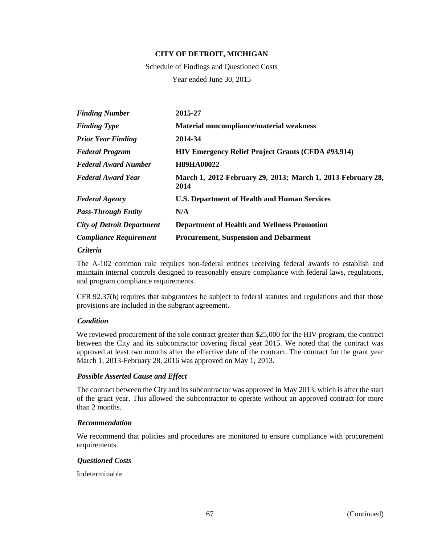Schedule of Findings and Questioned Costs Year ended June 30, 2015

| <b>Finding Number</b>             | 2015-27                                                             |
|-----------------------------------|---------------------------------------------------------------------|
| <b>Finding Type</b>               | <b>Material noncompliance/material weakness</b>                     |
| <b>Prior Year Finding</b>         | 2014-34                                                             |
| <b>Federal Program</b>            | <b>HIV Emergency Relief Project Grants (CFDA #93.914)</b>           |
| <b>Federal Award Number</b>       | <b>H89HA00022</b>                                                   |
| <b>Federal Award Year</b>         | March 1, 2012-February 29, 2013; March 1, 2013-February 28,<br>2014 |
| <b>Federal Agency</b>             | <b>U.S. Department of Health and Human Services</b>                 |
| <b>Pass-Through Entity</b>        | N/A                                                                 |
| <b>City of Detroit Department</b> | <b>Department of Health and Wellness Promotion</b>                  |
| <b>Compliance Requirement</b>     | <b>Procurement, Suspension and Debarment</b>                        |

### *Criteria*

The A-102 common rule requires non-federal entities receiving federal awards to establish and maintain internal controls designed to reasonably ensure compliance with federal laws, regulations, and program compliance requirements.

CFR 92.37(b) requires that subgrantees be subject to federal statutes and regulations and that those provisions are included in the subgrant agreement.

## *Condition*

We reviewed procurement of the sole contract greater than \$25,000 for the HIV program, the contract between the City and its subcontractor covering fiscal year 2015. We noted that the contract was approved at least two months after the effective date of the contract. The contract for the grant year March 1, 2013-February 28, 2016 was approved on May 1, 2013.

## *Possible Asserted Cause and Effect*

The contract between the City and its subcontractor was approved in May 2013, which is after the start of the grant year. This allowed the subcontractor to operate without an approved contract for more than 2 months.

### *Recommendation*

We recommend that policies and procedures are monitored to ensure compliance with procurement requirements.

## *Questioned Costs*

Indeterminable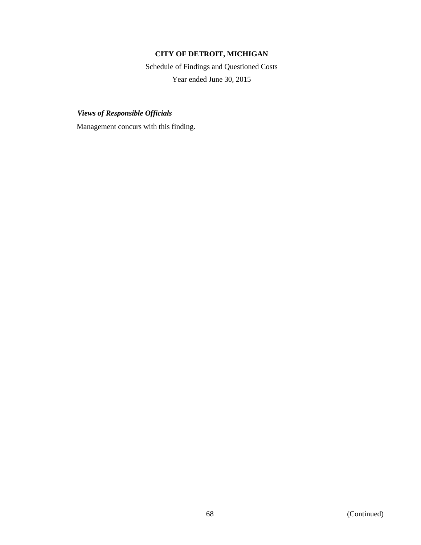Schedule of Findings and Questioned Costs Year ended June 30, 2015

*Views of Responsible Officials*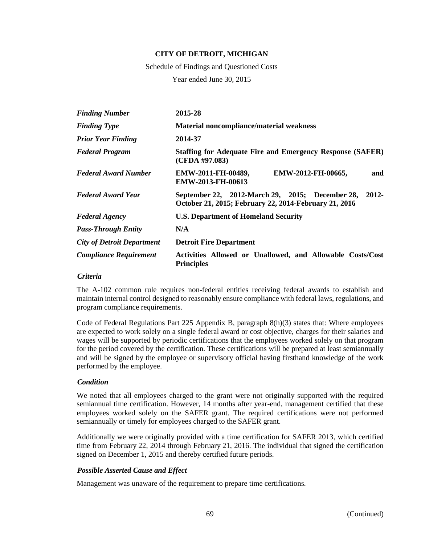Schedule of Findings and Questioned Costs

Year ended June 30, 2015

| <b>Finding Number</b>             | 2015-28                                                                                                              |
|-----------------------------------|----------------------------------------------------------------------------------------------------------------------|
| <b>Finding Type</b>               | <b>Material noncompliance/material weakness</b>                                                                      |
| <b>Prior Year Finding</b>         | 2014-37                                                                                                              |
| <b>Federal Program</b>            | <b>Staffing for Adequate Fire and Emergency Response (SAFER)</b><br>(CFDA #97.083)                                   |
| <b>Federal Award Number</b>       | EMW-2011-FH-00489,<br>EMW-2012-FH-00665,<br>and<br><b>EMW-2013-FH-00613</b>                                          |
| <b>Federal Award Year</b>         | $2012 -$<br>September 22, 2012-March 29, 2015; December 28,<br>October 21, 2015; February 22, 2014-February 21, 2016 |
| <b>Federal Agency</b>             | <b>U.S. Department of Homeland Security</b>                                                                          |
| <b>Pass-Through Entity</b>        | N/A                                                                                                                  |
| <b>City of Detroit Department</b> | <b>Detroit Fire Department</b>                                                                                       |
| <b>Compliance Requirement</b>     | Activities Allowed or Unallowed, and Allowable Costs/Cost<br><b>Principles</b>                                       |

### *Criteria*

The A-102 common rule requires non-federal entities receiving federal awards to establish and maintain internal control designed to reasonably ensure compliance with federal laws, regulations, and program compliance requirements.

Code of Federal Regulations Part 225 Appendix B, paragraph 8(h)(3) states that: Where employees are expected to work solely on a single federal award or cost objective, charges for their salaries and wages will be supported by periodic certifications that the employees worked solely on that program for the period covered by the certification. These certifications will be prepared at least semiannually and will be signed by the employee or supervisory official having firsthand knowledge of the work performed by the employee.

### *Condition*

We noted that all employees charged to the grant were not originally supported with the required semiannual time certification. However, 14 months after year-end, management certified that these employees worked solely on the SAFER grant. The required certifications were not performed semiannually or timely for employees charged to the SAFER grant.

Additionally we were originally provided with a time certification for SAFER 2013, which certified time from February 22, 2014 through February 21, 2016. The individual that signed the certification signed on December 1, 2015 and thereby certified future periods.

## *Possible Asserted Cause and Effect*

Management was unaware of the requirement to prepare time certifications.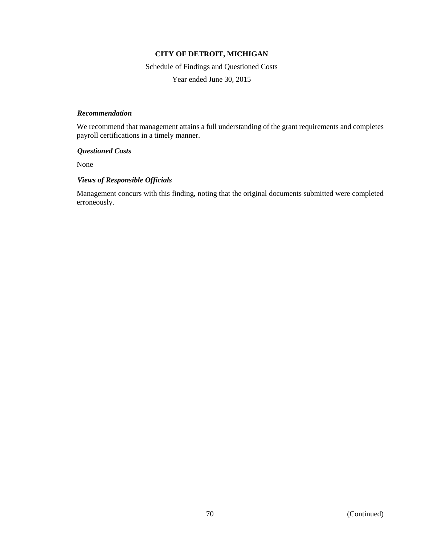Schedule of Findings and Questioned Costs

Year ended June 30, 2015

### *Recommendation*

We recommend that management attains a full understanding of the grant requirements and completes payroll certifications in a timely manner.

### *Questioned Costs*

None

## *Views of Responsible Officials*

Management concurs with this finding, noting that the original documents submitted were completed erroneously.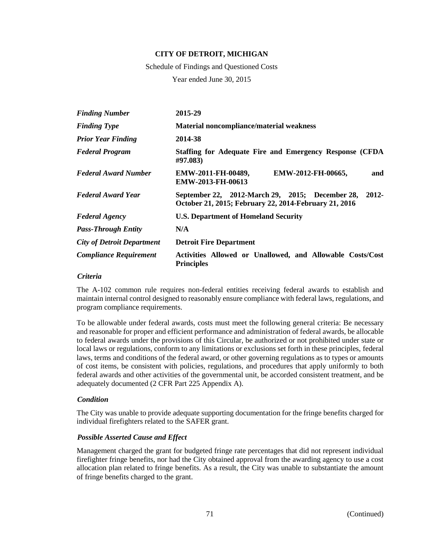Schedule of Findings and Questioned Costs

Year ended June 30, 2015

| <b>Finding Number</b>             | 2015-29                                                                                                              |  |  |
|-----------------------------------|----------------------------------------------------------------------------------------------------------------------|--|--|
| <b>Finding Type</b>               | <b>Material noncompliance/material weakness</b>                                                                      |  |  |
| <b>Prior Year Finding</b>         | 2014-38                                                                                                              |  |  |
| <b>Federal Program</b>            | Staffing for Adequate Fire and Emergency Response (CFDA<br>#97.083)                                                  |  |  |
| <b>Federal Award Number</b>       | EMW-2011-FH-00489,<br>EMW-2012-FH-00665,<br>and<br><b>EMW-2013-FH-00613</b>                                          |  |  |
| <b>Federal Award Year</b>         | $2012 -$<br>September 22, 2012-March 29, 2015; December 28,<br>October 21, 2015; February 22, 2014-February 21, 2016 |  |  |
| <b>Federal Agency</b>             | <b>U.S. Department of Homeland Security</b>                                                                          |  |  |
| <b>Pass-Through Entity</b>        | N/A                                                                                                                  |  |  |
| <b>City of Detroit Department</b> | <b>Detroit Fire Department</b>                                                                                       |  |  |
| <b>Compliance Requirement</b>     | Activities Allowed or Unallowed, and Allowable Costs/Cost<br><b>Principles</b>                                       |  |  |

#### *Criteria*

The A-102 common rule requires non-federal entities receiving federal awards to establish and maintain internal control designed to reasonably ensure compliance with federal laws, regulations, and program compliance requirements.

To be allowable under federal awards, costs must meet the following general criteria: Be necessary and reasonable for proper and efficient performance and administration of federal awards, be allocable to federal awards under the provisions of this Circular, be authorized or not prohibited under state or local laws or regulations, conform to any limitations or exclusions set forth in these principles, federal laws, terms and conditions of the federal award, or other governing regulations as to types or amounts of cost items, be consistent with policies, regulations, and procedures that apply uniformly to both federal awards and other activities of the governmental unit, be accorded consistent treatment, and be adequately documented (2 CFR Part 225 Appendix A).

#### *Condition*

The City was unable to provide adequate supporting documentation for the fringe benefits charged for individual firefighters related to the SAFER grant.

## *Possible Asserted Cause and Effect*

Management charged the grant for budgeted fringe rate percentages that did not represent individual firefighter fringe benefits, nor had the City obtained approval from the awarding agency to use a cost allocation plan related to fringe benefits. As a result, the City was unable to substantiate the amount of fringe benefits charged to the grant.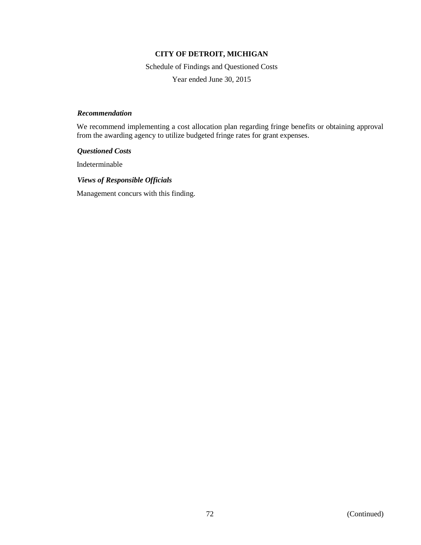Schedule of Findings and Questioned Costs

Year ended June 30, 2015

## *Recommendation*

We recommend implementing a cost allocation plan regarding fringe benefits or obtaining approval from the awarding agency to utilize budgeted fringe rates for grant expenses.

### *Questioned Costs*

Indeterminable

### *Views of Responsible Officials*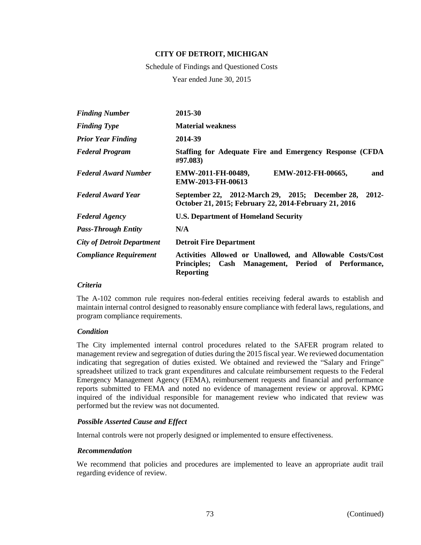Schedule of Findings and Questioned Costs

Year ended June 30, 2015

| <b>Finding Number</b>             | 2015-30                                                                                                                                        |  |  |
|-----------------------------------|------------------------------------------------------------------------------------------------------------------------------------------------|--|--|
| <b>Finding Type</b>               | <b>Material weakness</b>                                                                                                                       |  |  |
| <b>Prior Year Finding</b>         | 2014-39                                                                                                                                        |  |  |
| <b>Federal Program</b>            | Staffing for Adequate Fire and Emergency Response (CFDA<br>#97.083)                                                                            |  |  |
| <b>Federal Award Number</b>       | EMW-2011-FH-00489,<br>EMW-2012-FH-00665,<br>and<br><b>EMW-2013-FH-00613</b>                                                                    |  |  |
| <b>Federal Award Year</b>         | September 22, 2012-March 29, 2015; December 28,<br>2012-<br>October 21, 2015; February 22, 2014-February 21, 2016                              |  |  |
| <b>Federal Agency</b>             | <b>U.S. Department of Homeland Security</b>                                                                                                    |  |  |
| <b>Pass-Through Entity</b>        | N/A                                                                                                                                            |  |  |
| <b>City of Detroit Department</b> | <b>Detroit Fire Department</b>                                                                                                                 |  |  |
| <b>Compliance Requirement</b>     | Activities Allowed or Unallowed, and Allowable Costs/Cost<br>Cash Management, Period of Performance,<br><b>Principles;</b><br><b>Reporting</b> |  |  |

#### *Criteria*

The A-102 common rule requires non-federal entities receiving federal awards to establish and maintain internal control designed to reasonably ensure compliance with federal laws, regulations, and program compliance requirements.

## *Condition*

The City implemented internal control procedures related to the SAFER program related to management review and segregation of duties during the 2015 fiscal year. We reviewed documentation indicating that segregation of duties existed. We obtained and reviewed the "Salary and Fringe" spreadsheet utilized to track grant expenditures and calculate reimbursement requests to the Federal Emergency Management Agency (FEMA), reimbursement requests and financial and performance reports submitted to FEMA and noted no evidence of management review or approval. KPMG inquired of the individual responsible for management review who indicated that review was performed but the review was not documented.

## *Possible Asserted Cause and Effect*

Internal controls were not properly designed or implemented to ensure effectiveness.

#### *Recommendation*

We recommend that policies and procedures are implemented to leave an appropriate audit trail regarding evidence of review.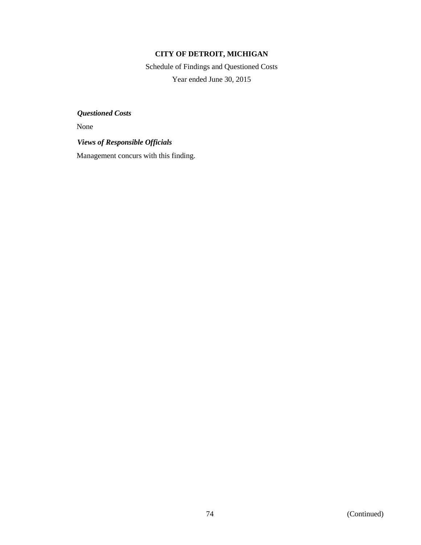Schedule of Findings and Questioned Costs Year ended June 30, 2015

*Questioned Costs*

None

*Views of Responsible Officials*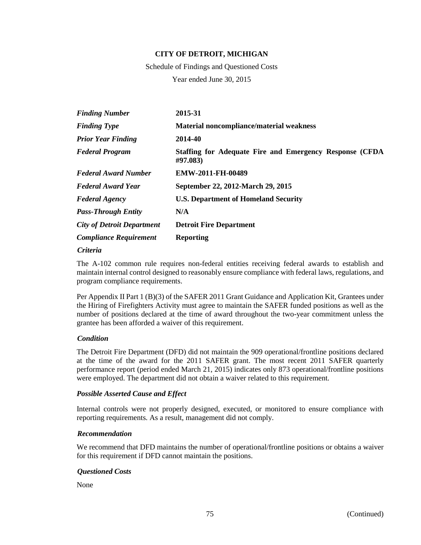Schedule of Findings and Questioned Costs Year ended June 30, 2015

| <b>Finding Number</b>             | 2015-31                                                              |  |  |
|-----------------------------------|----------------------------------------------------------------------|--|--|
| <b>Finding Type</b>               | <b>Material noncompliance/material weakness</b>                      |  |  |
| <b>Prior Year Finding</b>         | 2014-40                                                              |  |  |
| <b>Federal Program</b>            | Staffing for Adequate Fire and Emergency Response (CFDA)<br>#97.083) |  |  |
| <b>Federal Award Number</b>       | EMW-2011-FH-00489                                                    |  |  |
| <b>Federal Award Year</b>         | September 22, 2012-March 29, 2015                                    |  |  |
| <b>Federal Agency</b>             | <b>U.S. Department of Homeland Security</b>                          |  |  |
| <b>Pass-Through Entity</b>        | N/A                                                                  |  |  |
| <b>City of Detroit Department</b> | <b>Detroit Fire Department</b>                                       |  |  |
| <b>Compliance Requirement</b>     | <b>Reporting</b>                                                     |  |  |

#### *Criteria*

The A-102 common rule requires non-federal entities receiving federal awards to establish and maintain internal control designed to reasonably ensure compliance with federal laws, regulations, and program compliance requirements.

Per Appendix II Part 1 (B)(3) of the SAFER 2011 Grant Guidance and Application Kit, Grantees under the Hiring of Firefighters Activity must agree to maintain the SAFER funded positions as well as the number of positions declared at the time of award throughout the two-year commitment unless the grantee has been afforded a waiver of this requirement.

## *Condition*

The Detroit Fire Department (DFD) did not maintain the 909 operational/frontline positions declared at the time of the award for the 2011 SAFER grant. The most recent 2011 SAFER quarterly performance report (period ended March 21, 2015) indicates only 873 operational/frontline positions were employed. The department did not obtain a waiver related to this requirement.

## *Possible Asserted Cause and Effect*

Internal controls were not properly designed, executed, or monitored to ensure compliance with reporting requirements. As a result, management did not comply.

#### *Recommendation*

We recommend that DFD maintains the number of operational/frontline positions or obtains a waiver for this requirement if DFD cannot maintain the positions.

#### *Questioned Costs*

None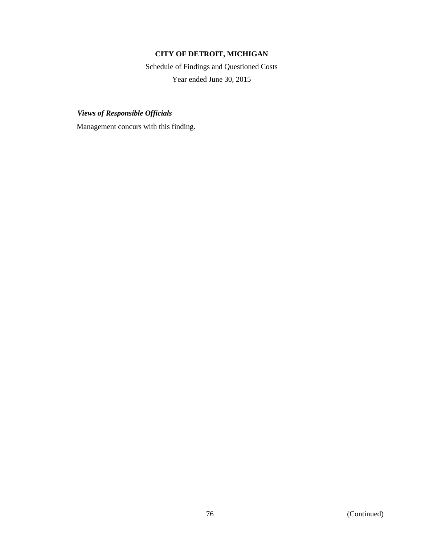Schedule of Findings and Questioned Costs Year ended June 30, 2015

*Views of Responsible Officials*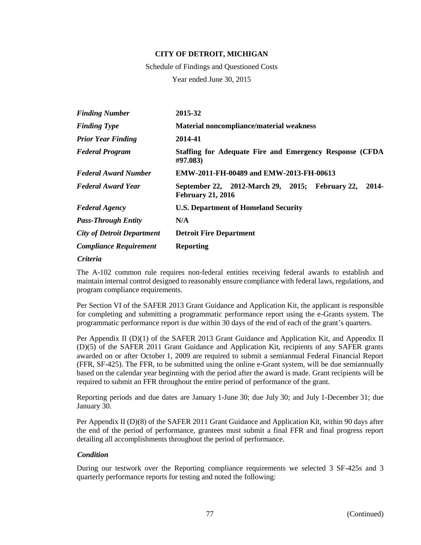Schedule of Findings and Questioned Costs

Year ended June 30, 2015

| <b>Finding Number</b>             | 2015-32                                                                              |  |  |  |
|-----------------------------------|--------------------------------------------------------------------------------------|--|--|--|
| <b>Finding Type</b>               | Material noncompliance/material weakness                                             |  |  |  |
| <b>Prior Year Finding</b>         | 2014-41                                                                              |  |  |  |
| <b>Federal Program</b>            | Staffing for Adequate Fire and Emergency Response (CFDA)<br>#97.083)                 |  |  |  |
| <b>Federal Award Number</b>       | EMW-2011-FH-00489 and EMW-2013-FH-00613                                              |  |  |  |
| <b>Federal Award Year</b>         | September 22, 2012-March 29, 2015; February 22,<br>2014-<br><b>February 21, 2016</b> |  |  |  |
| <b>Federal Agency</b>             | <b>U.S. Department of Homeland Security</b>                                          |  |  |  |
| <b>Pass-Through Entity</b>        | N/A                                                                                  |  |  |  |
| <b>City of Detroit Department</b> | <b>Detroit Fire Department</b>                                                       |  |  |  |
| <b>Compliance Requirement</b>     | <b>Reporting</b>                                                                     |  |  |  |
| $\sim\cdot\cdot\cdot$             |                                                                                      |  |  |  |

*Criteria*

The A-102 common rule requires non-federal entities receiving federal awards to establish and maintain internal control designed to reasonably ensure compliance with federal laws, regulations, and program compliance requirements.

Per Section VI of the SAFER 2013 Grant Guidance and Application Kit, the applicant is responsible for completing and submitting a programmatic performance report using the e-Grants system. The programmatic performance report is due within 30 days of the end of each of the grant's quarters.

Per Appendix II (D)(1) of the SAFER 2013 Grant Guidance and Application Kit, and Appendix II (D)(5) of the SAFER 2011 Grant Guidance and Application Kit, recipients of any SAFER grants awarded on or after October 1, 2009 are required to submit a semiannual Federal Financial Report (FFR, SF-425). The FFR, to be submitted using the online e-Grant system, will be due semiannually based on the calendar year beginning with the period after the award is made. Grant recipients will be required to submit an FFR throughout the entire period of performance of the grant.

Reporting periods and due dates are January 1-June 30; due July 30; and July 1-December 31; due January 30.

Per Appendix II (D)(8) of the SAFER 2011 Grant Guidance and Application Kit, within 90 days after the end of the period of performance, grantees must submit a final FFR and final progress report detailing all accomplishments throughout the period of performance.

#### *Condition*

During our testwork over the Reporting compliance requirements we selected 3 SF-425s and 3 quarterly performance reports for testing and noted the following: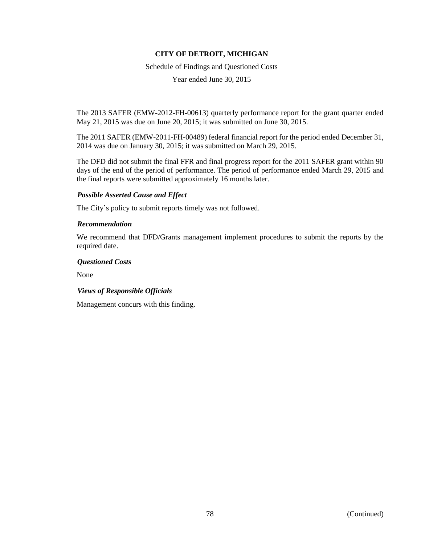Schedule of Findings and Questioned Costs

Year ended June 30, 2015

The 2013 SAFER (EMW-2012-FH-00613) quarterly performance report for the grant quarter ended May 21, 2015 was due on June 20, 2015; it was submitted on June 30, 2015.

The 2011 SAFER (EMW-2011-FH-00489) federal financial report for the period ended December 31, 2014 was due on January 30, 2015; it was submitted on March 29, 2015.

The DFD did not submit the final FFR and final progress report for the 2011 SAFER grant within 90 days of the end of the period of performance. The period of performance ended March 29, 2015 and the final reports were submitted approximately 16 months later.

## *Possible Asserted Cause and Effect*

The City's policy to submit reports timely was not followed.

## *Recommendation*

We recommend that DFD/Grants management implement procedures to submit the reports by the required date.

### *Questioned Costs*

None

## *Views of Responsible Officials*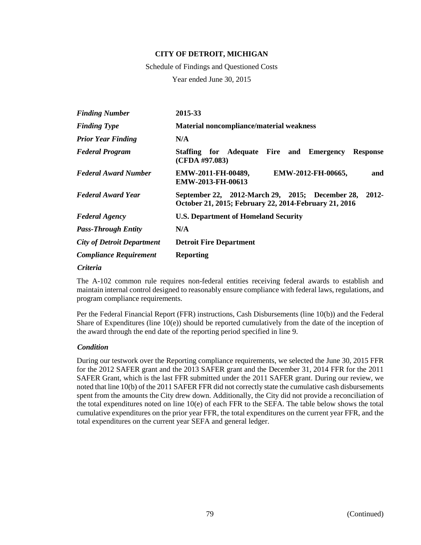Schedule of Findings and Questioned Costs

Year ended June 30, 2015

| <b>Finding Number</b>             | 2015-33                                                                                                           |  |  |  |
|-----------------------------------|-------------------------------------------------------------------------------------------------------------------|--|--|--|
| <b>Finding Type</b>               | Material noncompliance/material weakness                                                                          |  |  |  |
| <b>Prior Year Finding</b>         | N/A                                                                                                               |  |  |  |
| <b>Federal Program</b>            | Staffing for Adequate Fire and Emergency<br><b>Response</b><br>(CFDA #97.083)                                     |  |  |  |
| <b>Federal Award Number</b>       | EMW-2011-FH-00489,<br>EMW-2012-FH-00665,<br>and<br><b>EMW-2013-FH-00613</b>                                       |  |  |  |
| <b>Federal Award Year</b>         | 2012-<br>September 22, 2012-March 29, 2015; December 28,<br>October 21, 2015; February 22, 2014-February 21, 2016 |  |  |  |
| <b>Federal Agency</b>             | <b>U.S. Department of Homeland Security</b>                                                                       |  |  |  |
| <b>Pass-Through Entity</b>        | N/A                                                                                                               |  |  |  |
| <b>City of Detroit Department</b> | <b>Detroit Fire Department</b>                                                                                    |  |  |  |
| <b>Compliance Requirement</b>     | <b>Reporting</b>                                                                                                  |  |  |  |

*Criteria*

The A-102 common rule requires non-federal entities receiving federal awards to establish and maintain internal control designed to reasonably ensure compliance with federal laws, regulations, and program compliance requirements.

Per the Federal Financial Report (FFR) instructions, Cash Disbursements (line 10(b)) and the Federal Share of Expenditures (line  $10(e)$ ) should be reported cumulatively from the date of the inception of the award through the end date of the reporting period specified in line 9.

#### *Condition*

During our testwork over the Reporting compliance requirements, we selected the June 30, 2015 FFR for the 2012 SAFER grant and the 2013 SAFER grant and the December 31, 2014 FFR for the 2011 SAFER Grant, which is the last FFR submitted under the 2011 SAFER grant. During our review, we noted that line 10(b) of the 2011 SAFER FFR did not correctly state the cumulative cash disbursements spent from the amounts the City drew down. Additionally, the City did not provide a reconciliation of the total expenditures noted on line 10(e) of each FFR to the SEFA. The table below shows the total cumulative expenditures on the prior year FFR, the total expenditures on the current year FFR, and the total expenditures on the current year SEFA and general ledger.